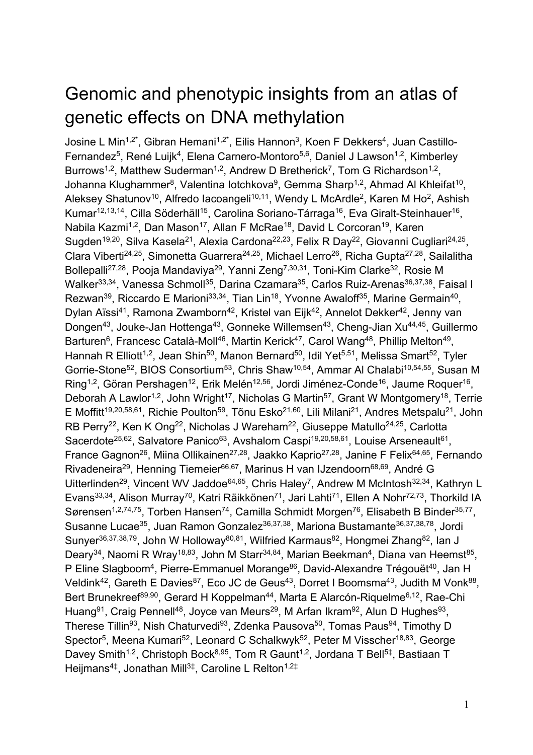## Genomic and phenotypic insights from an atlas of genetic effects on DNA methylation

Josine L Min<sup>1,2\*</sup>, Gibran Hemani<sup>1,2\*</sup>, Eilis Hannon<sup>3</sup>, Koen F Dekkers<sup>4</sup>, Juan Castillo-Fernandez<sup>5</sup>, René Luijk<sup>4</sup>, Elena Carnero-Montoro<sup>5,6</sup>, Daniel J Lawson<sup>1,2</sup>, Kimberley Burrows<sup>1,2</sup>, Matthew Suderman<sup>1,2</sup>, Andrew D Bretherick<sup>7</sup>, Tom G Richardson<sup>1,2</sup>, Johanna Klughammer<sup>8</sup>, Valentina lotchkova<sup>9</sup>, Gemma Sharp<sup>1,2</sup>, Ahmad Al Khleifat<sup>10</sup>, Aleksey Shatunov<sup>10</sup>, Alfredo Iacoangeli<sup>10,11</sup>, Wendy L McArdle<sup>2</sup>, Karen M Ho<sup>2</sup>, Ashish Kumar<sup>12,13,14</sup>, Cilla Söderhäll<sup>15</sup>, Carolina Soriano-Tárraga<sup>16</sup>, Eva Giralt-Steinhauer<sup>16</sup>, Nabila Kazmi<sup>1,2</sup>, Dan Mason<sup>17</sup>, Allan F McRae<sup>18</sup>, David L Corcoran<sup>19</sup>, Karen Sugden<sup>19,20</sup>, Silva Kasela<sup>21</sup>, Alexia Cardona<sup>22,23</sup>, Felix R Day<sup>22</sup>, Giovanni Cugliari<sup>24,25</sup>, Clara Viberti<sup>24,25</sup>, Simonetta Guarrera<sup>24,25</sup>, Michael Lerro<sup>26</sup>, Richa Gupta<sup>27,28</sup>, Sailalitha Bollepalli<sup>27,28</sup>, Pooja Mandaviya<sup>29</sup>, Yanni Zeng<sup>7,30,31</sup>, Toni-Kim Clarke<sup>32</sup>, Rosie M Walker<sup>33,34</sup>, Vanessa Schmoll<sup>35</sup>, Darina Czamara<sup>35</sup>, Carlos Ruiz-Arenas<sup>36,37,38</sup>, Faisal I Rezwan<sup>39</sup>, Riccardo E Marioni<sup>33,34</sup>, Tian Lin<sup>18</sup>, Yvonne Awaloff<sup>35</sup>, Marine Germain<sup>40</sup>, Dylan Aïssi<sup>41</sup>, Ramona Zwamborn<sup>42</sup>, Kristel van Eijk<sup>42</sup>, Annelot Dekker<sup>42</sup>, Jenny van Dongen<sup>43</sup>, Jouke-Jan Hottenga<sup>43</sup>, Gonneke Willemsen<sup>43</sup>, Cheng-Jian Xu<sup>44,45</sup>, Guillermo Barturen<sup>6</sup>, Francesc Català-Moll<sup>46</sup>, Martin Kerick<sup>47</sup>, Carol Wang<sup>48</sup>, Phillip Melton<sup>49</sup>, Hannah R Elliott<sup>1,2</sup>, Jean Shin<sup>50</sup>, Manon Bernard<sup>50</sup>, Idil Yet<sup>5,51</sup>, Melissa Smart<sup>52</sup>, Tyler Gorrie-Stone<sup>52</sup>, BIOS Consortium<sup>53</sup>, Chris Shaw<sup>10,54</sup>, Ammar Al Chalabi<sup>10,54,55</sup>, Susan M Ring<sup>1,2</sup>, Göran Pershagen<sup>12</sup>, Erik Melén<sup>12,56</sup>, Jordi Jiménez-Conde<sup>16</sup>, Jaume Roquer<sup>16</sup>, Deborah A Lawlor<sup>1,2</sup>, John Wright<sup>17</sup>, Nicholas G Martin<sup>57</sup>, Grant W Montgomery<sup>18</sup>, Terrie E Moffitt<sup>19,20,58,61</sup>, Richie Poulton<sup>59</sup>, Tõnu Esko<sup>21,60</sup>, Lili Milani<sup>21</sup>, Andres Metspalu<sup>21</sup>, John RB Perry<sup>22</sup>, Ken K Ong<sup>22</sup>, Nicholas J Wareham<sup>22</sup>, Giuseppe Matullo<sup>24,25</sup>, Carlotta Sacerdote<sup>25,62</sup>, Salvatore Panico<sup>63</sup>, Avshalom Caspi<sup>19,20,58,61</sup>, Louise Arseneault<sup>61</sup>, France Gagnon<sup>26</sup>, Miina Ollikainen<sup>27,28</sup>, Jaakko Kaprio<sup>27,28</sup>, Janine F Felix<sup>64,65</sup>, Fernando Rivadeneira<sup>29</sup>, Henning Tiemeier<sup>66,67</sup>, Marinus H van IJzendoorn<sup>68,69</sup>, André G Uitterlinden<sup>29</sup>, Vincent WV Jaddoe<sup>64,65</sup>, Chris Haley<sup>7</sup>, Andrew M McIntosh<sup>32,34</sup>, Kathryn L Evans<sup>33,34</sup>, Alison Murray<sup>70</sup>, Katri Räikkönen<sup>71</sup>, Jari Lahti<sup>71</sup>, Ellen A Nohr<sup>72,73</sup>, Thorkild IA Sørensen<sup>1,2,74,75</sup>, Torben Hansen<sup>74</sup>, Camilla Schmidt Morgen<sup>76</sup>, Elisabeth B Binder<sup>35,77</sup>, Susanne Lucae<sup>35</sup>, Juan Ramon Gonzalez<sup>36,37,38</sup>, Mariona Bustamante<sup>36,37,38,78</sup>, Jordi Sunyer<sup>36,37,38,79</sup>, John W Holloway<sup>80,81</sup>, Wilfried Karmaus<sup>82</sup>, Hongmei Zhang<sup>82</sup>, Ian J Deary<sup>34</sup>, Naomi R Wray<sup>18,83</sup>, John M Starr<sup>34,84</sup>, Marian Beekman<sup>4</sup>, Diana van Heemst<sup>85</sup>, P Eline Slagboom<sup>4</sup>, Pierre-Emmanuel Morange<sup>86</sup>, David-Alexandre Trégouët<sup>40</sup>, Jan H Veldink<sup>42</sup>, Gareth E Davies<sup>87</sup>, Eco JC de Geus<sup>43</sup>, Dorret I Boomsma<sup>43</sup>, Judith M Vonk<sup>88</sup>, Bert Brunekreef<sup>89,90</sup>, Gerard H Koppelman<sup>44</sup>, Marta E Alarcón-Riquelme<sup>6,12</sup>, Rae-Chi Huang<sup>91</sup>, Craig Pennell<sup>48</sup>, Joyce van Meurs<sup>29</sup>, M Arfan Ikram<sup>92</sup>, Alun D Hughes<sup>93</sup>. Therese Tillin<sup>93</sup>, Nish Chaturvedi<sup>93</sup>, Zdenka Pausova<sup>50</sup>, Tomas Paus<sup>94</sup>, Timothy D Spector<sup>5</sup>, Meena Kumari<sup>52</sup>, Leonard C Schalkwyk<sup>52</sup>, Peter M Visscher<sup>18,83</sup>, George Davey Smith<sup>1,2</sup>, Christoph Bock<sup>8,95</sup>, Tom R Gaunt<sup>1,2</sup>, Jordana T Bell<sup>5‡</sup>, Bastiaan T Heijmans<sup>4‡</sup>, Jonathan Mill<sup>3‡</sup>, Caroline L Relton<sup>1,2‡</sup>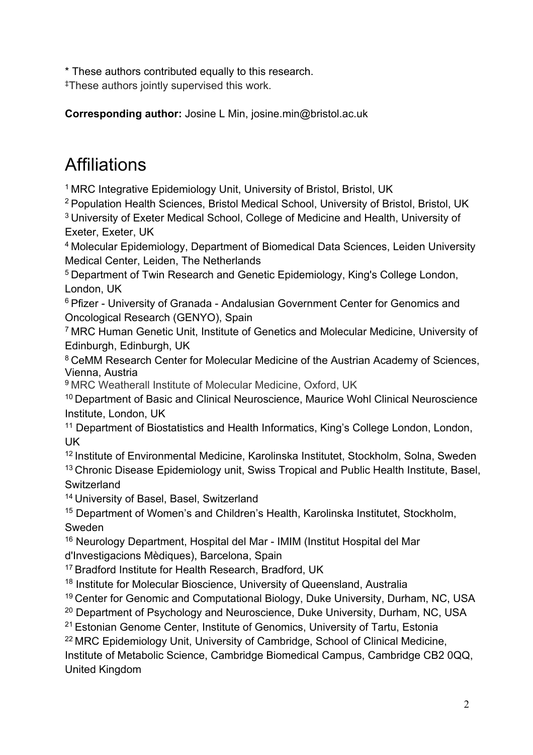\* These authors contributed equally to this research.

‡These authors jointly supervised this work.

**Corresponding author:** Josine L Min, josine.min@bristol.ac.uk

## **Affiliations**

<sup>1</sup> MRC Integrative Epidemiology Unit, University of Bristol, Bristol, UK

<sup>2</sup> Population Health Sciences, Bristol Medical School, University of Bristol, Bristol, UK

3 University of Exeter Medical School, College of Medicine and Health, University of Exeter, Exeter, UK

<sup>4</sup> Molecular Epidemiology, Department of Biomedical Data Sciences, Leiden University Medical Center, Leiden, The Netherlands

<sup>5</sup> Department of Twin Research and Genetic Epidemiology, King's College London, London, UK

6 Pfizer - University of Granada - Andalusian Government Center for Genomics and Oncological Research (GENYO), Spain

7 MRC Human Genetic Unit, Institute of Genetics and Molecular Medicine, University of Edinburgh, Edinburgh, UK

<sup>8</sup> CeMM Research Center for Molecular Medicine of the Austrian Academy of Sciences, Vienna, Austria

9 MRC Weatherall Institute of Molecular Medicine, Oxford, UK

<sup>10</sup> Department of Basic and Clinical Neuroscience, Maurice Wohl Clinical Neuroscience Institute, London, UK

<sup>11</sup> Department of Biostatistics and Health Informatics, King's College London, London, UK

<sup>12</sup> Institute of Environmental Medicine, Karolinska Institutet, Stockholm, Solna, Sweden <sup>13</sup> Chronic Disease Epidemiology unit, Swiss Tropical and Public Health Institute, Basel, **Switzerland** 

<sup>14</sup> University of Basel, Basel, Switzerland

<sup>15</sup> Department of Women's and Children's Health, Karolinska Institutet, Stockholm, Sweden

<sup>16</sup> Neurology Department, Hospital del Mar - IMIM (Institut Hospital del Mar d'Investigacions Mèdiques), Barcelona, Spain

<sup>17</sup> Bradford Institute for Health Research, Bradford, UK

<sup>18</sup> Institute for Molecular Bioscience, University of Queensland, Australia

<sup>19</sup> Center for Genomic and Computational Biology, Duke University, Durham, NC, USA

<sup>20</sup> Department of Psychology and Neuroscience, Duke University, Durham, NC, USA

21 Estonian Genome Center, Institute of Genomics, University of Tartu, Estonia

<sup>22</sup> MRC Epidemiology Unit, University of Cambridge, School of Clinical Medicine, Institute of Metabolic Science, Cambridge Biomedical Campus, Cambridge CB2 0QQ, United Kingdom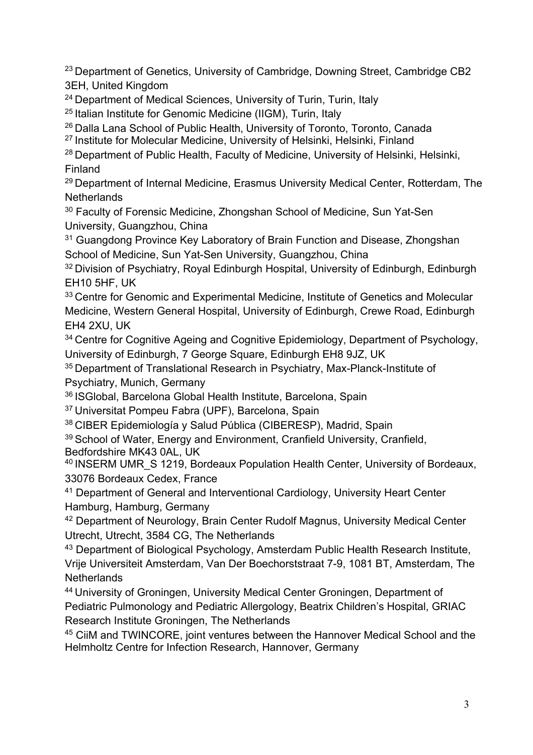<sup>23</sup> Department of Genetics, University of Cambridge, Downing Street, Cambridge CB2 3EH, United Kingdom

<sup>24</sup> Department of Medical Sciences, University of Turin, Turin, Italy

25 Italian Institute for Genomic Medicine (IIGM), Turin, Italy

26 Dalla Lana School of Public Health, University of Toronto, Toronto, Canada

<sup>27</sup> Institute for Molecular Medicine, University of Helsinki, Helsinki, Finland

<sup>28</sup> Department of Public Health, Faculty of Medicine, University of Helsinki, Helsinki, Finland

<sup>29</sup> Department of Internal Medicine, Erasmus University Medical Center, Rotterdam, The **Netherlands** 

<sup>30</sup> Faculty of Forensic Medicine, Zhongshan School of Medicine, Sun Yat-Sen University, Guangzhou, China

<sup>31</sup> Guangdong Province Key Laboratory of Brain Function and Disease, Zhongshan School of Medicine, Sun Yat-Sen University, Guangzhou, China

<sup>32</sup> Division of Psychiatry, Royal Edinburgh Hospital, University of Edinburgh, Edinburgh EH10 5HF, UK

<sup>33</sup> Centre for Genomic and Experimental Medicine, Institute of Genetics and Molecular Medicine, Western General Hospital, University of Edinburgh, Crewe Road, Edinburgh EH4 2XU, UK

<sup>34</sup> Centre for Cognitive Ageing and Cognitive Epidemiology, Department of Psychology, University of Edinburgh, 7 George Square, Edinburgh EH8 9JZ, UK

35 Department of Translational Research in Psychiatry, Max-Planck-Institute of Psychiatry, Munich, Germany

36 ISGlobal, Barcelona Global Health Institute, Barcelona, Spain

37 Universitat Pompeu Fabra (UPF), Barcelona, Spain

38 CIBER Epidemiología y Salud Pública (CIBERESP), Madrid, Spain

<sup>39</sup> School of Water, Energy and Environment, Cranfield University, Cranfield, Bedfordshire MK43 0AL, UK

<sup>40</sup> INSERM UMR S 1219, Bordeaux Population Health Center, University of Bordeaux, 33076 Bordeaux Cedex, France

<sup>41</sup> Department of General and Interventional Cardiology, University Heart Center Hamburg, Hamburg, Germany

<sup>42</sup> Department of Neurology, Brain Center Rudolf Magnus, University Medical Center Utrecht, Utrecht, 3584 CG, The Netherlands

<sup>43</sup> Department of Biological Psychology, Amsterdam Public Health Research Institute, Vrije Universiteit Amsterdam, Van Der Boechorststraat 7-9, 1081 BT, Amsterdam, The **Netherlands** 

<sup>44</sup> University of Groningen, University Medical Center Groningen, Department of Pediatric Pulmonology and Pediatric Allergology, Beatrix Children's Hospital, GRIAC Research Institute Groningen, The Netherlands

<sup>45</sup> CiiM and TWINCORE, joint ventures between the Hannover Medical School and the Helmholtz Centre for Infection Research, Hannover, Germany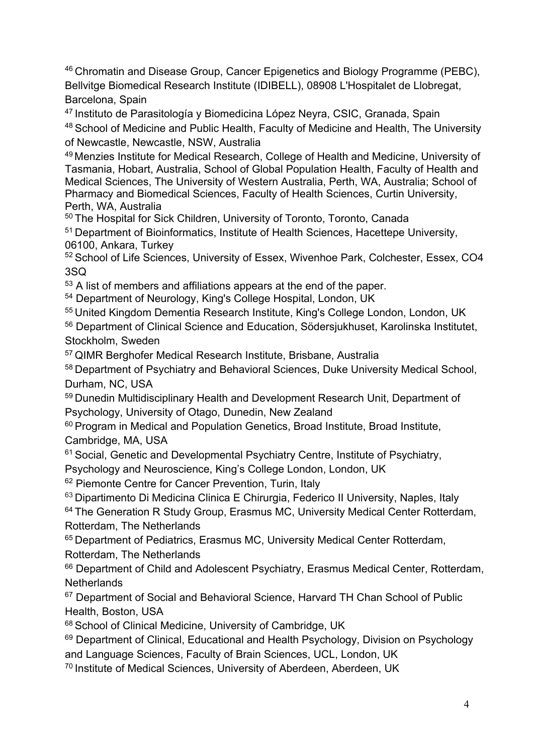46 Chromatin and Disease Group, Cancer Epigenetics and Biology Programme (PEBC), Bellvitge Biomedical Research Institute (IDIBELL), 08908 L'Hospitalet de Llobregat, Barcelona, Spain

47 Instituto de Parasitología y Biomedicina López Neyra, CSIC, Granada, Spain 48 School of Medicine and Public Health, Faculty of Medicine and Health, The University

of Newcastle, Newcastle, NSW, Australia

<sup>49</sup> Menzies Institute for Medical Research, College of Health and Medicine, University of Tasmania, Hobart, Australia, School of Global Population Health, Faculty of Health and Medical Sciences, The University of Western Australia, Perth, WA, Australia; School of Pharmacy and Biomedical Sciences, Faculty of Health Sciences, Curtin University, Perth, WA, Australia

50 The Hospital for Sick Children, University of Toronto, Toronto, Canada 51 Department of Bioinformatics, Institute of Health Sciences, Hacettepe University, 06100, Ankara, Turkey

<sup>52</sup> School of Life Sciences, University of Essex, Wivenhoe Park, Colchester, Essex, CO4 3SQ

<sup>53</sup> A list of members and affiliations appears at the end of the paper.

<sup>54</sup> Department of Neurology, King's College Hospital, London, UK

<sup>55</sup> United Kingdom Dementia Research Institute, King's College London, London, UK

<sup>56</sup> Department of Clinical Science and Education, Södersjukhuset, Karolinska Institutet, Stockholm, Sweden

<sup>57</sup> QIMR Berghofer Medical Research Institute, Brisbane, Australia

<sup>58</sup> Department of Psychiatry and Behavioral Sciences, Duke University Medical School, Durham, NC, USA

<sup>59</sup> Dunedin Multidisciplinary Health and Development Research Unit, Department of Psychology, University of Otago, Dunedin, New Zealand

<sup>60</sup> Program in Medical and Population Genetics, Broad Institute, Broad Institute, Cambridge, MA, USA

<sup>61</sup> Social, Genetic and Developmental Psychiatry Centre, Institute of Psychiatry,

Psychology and Neuroscience, King's College London, London, UK

<sup>62</sup> Piemonte Centre for Cancer Prevention, Turin, Italy

<sup>63</sup> Dipartimento Di Medicina Clinica E Chirurgia, Federico II University, Naples, Italy

<sup>64</sup> The Generation R Study Group, Erasmus MC, University Medical Center Rotterdam, Rotterdam, The Netherlands

65 Department of Pediatrics, Erasmus MC, University Medical Center Rotterdam, Rotterdam, The Netherlands

<sup>66</sup> Department of Child and Adolescent Psychiatry, Erasmus Medical Center, Rotterdam, **Netherlands** 

<sup>67</sup> Department of Social and Behavioral Science, Harvard TH Chan School of Public Health, Boston, USA

68 School of Clinical Medicine, University of Cambridge, UK

<sup>69</sup> Department of Clinical, Educational and Health Psychology, Division on Psychology and Language Sciences, Faculty of Brain Sciences, UCL, London, UK

<sup>70</sup> Institute of Medical Sciences, University of Aberdeen, Aberdeen, UK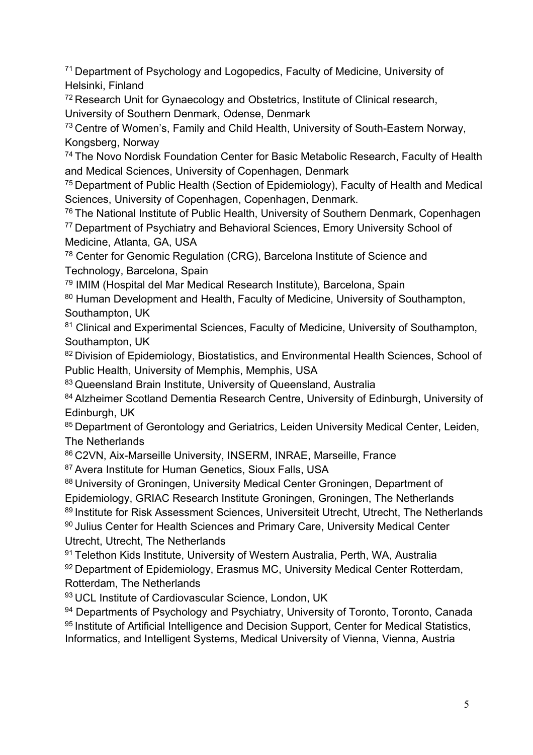<sup>71</sup> Department of Psychology and Logopedics, Faculty of Medicine, University of Helsinki, Finland

<sup>72</sup> Research Unit for Gynaecology and Obstetrics, Institute of Clinical research, University of Southern Denmark, Odense, Denmark

<sup>73</sup> Centre of Women's, Family and Child Health, University of South-Eastern Norway, Kongsberg, Norway

<sup>74</sup> The Novo Nordisk Foundation Center for Basic Metabolic Research, Faculty of Health and Medical Sciences, University of Copenhagen, Denmark

<sup>75</sup> Department of Public Health (Section of Epidemiology), Faculty of Health and Medical Sciences, University of Copenhagen, Copenhagen, Denmark.

<sup>76</sup> The National Institute of Public Health, University of Southern Denmark, Copenhagen <sup>77</sup> Department of Psychiatry and Behavioral Sciences, Emory University School of

Medicine, Atlanta, GA, USA

<sup>78</sup> Center for Genomic Regulation (CRG), Barcelona Institute of Science and Technology, Barcelona, Spain

<sup>79</sup> IMIM (Hospital del Mar Medical Research Institute), Barcelona, Spain

80 Human Development and Health, Faculty of Medicine, University of Southampton, Southampton, UK

<sup>81</sup> Clinical and Experimental Sciences, Faculty of Medicine, University of Southampton, Southampton, UK

82 Division of Epidemiology, Biostatistics, and Environmental Health Sciences, School of Public Health, University of Memphis, Memphis, USA

83 Queensland Brain Institute, University of Queensland, Australia

84 Alzheimer Scotland Dementia Research Centre, University of Edinburgh, University of Edinburgh, UK

85 Department of Gerontology and Geriatrics, Leiden University Medical Center, Leiden, The Netherlands

86 C2VN, Aix-Marseille University, INSERM, INRAE, Marseille, France

87 Avera Institute for Human Genetics, Sioux Falls, USA

88 University of Groningen, University Medical Center Groningen, Department of

Epidemiology, GRIAC Research Institute Groningen, Groningen, The Netherlands

89 Institute for Risk Assessment Sciences, Universiteit Utrecht, Utrecht, The Netherlands

90 Julius Center for Health Sciences and Primary Care, University Medical Center Utrecht, Utrecht, The Netherlands

91 Telethon Kids Institute, University of Western Australia, Perth, WA, Australia 92 Department of Epidemiology, Erasmus MC, University Medical Center Rotterdam. Rotterdam, The Netherlands

93 UCL Institute of Cardiovascular Science, London, UK

<sup>94</sup> Departments of Psychology and Psychiatry, University of Toronto, Toronto, Canada 95 Institute of Artificial Intelligence and Decision Support, Center for Medical Statistics, Informatics, and Intelligent Systems, Medical University of Vienna, Vienna, Austria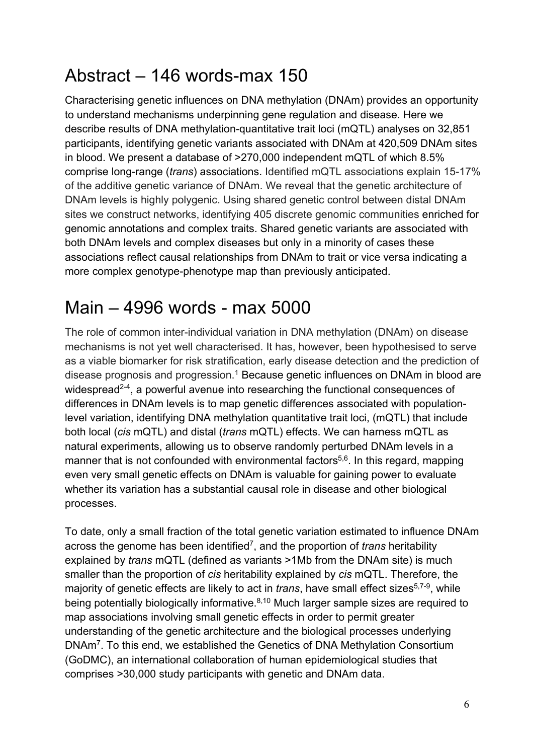## Abstract – 146 words-max 150

Characterising genetic influences on DNA methylation (DNAm) provides an opportunity to understand mechanisms underpinning gene regulation and disease. Here we describe results of DNA methylation-quantitative trait loci (mQTL) analyses on 32,851 participants, identifying genetic variants associated with DNAm at 420,509 DNAm sites in blood. We present a database of >270,000 independent mQTL of which 8.5% comprise long-range (*trans*) associations. Identified mQTL associations explain 15-17% of the additive genetic variance of DNAm. We reveal that the genetic architecture of DNAm levels is highly polygenic. Using shared genetic control between distal DNAm sites we construct networks, identifying 405 discrete genomic communities enriched for genomic annotations and complex traits. Shared genetic variants are associated with both DNAm levels and complex diseases but only in a minority of cases these associations reflect causal relationships from DNAm to trait or vice versa indicating a more complex genotype-phenotype map than previously anticipated.

## Main – 4996 words - max 5000

The role of common inter-individual variation in DNA methylation (DNAm) on disease mechanisms is not yet well characterised. It has, however, been hypothesised to serve as a viable biomarker for risk stratification, early disease detection and the prediction of disease prognosis and progression. <sup>1</sup> Because genetic influences on DNAm in blood are widespread<sup>2-4</sup>, a powerful avenue into researching the functional consequences of differences in DNAm levels is to map genetic differences associated with populationlevel variation, identifying DNA methylation quantitative trait loci, (mQTL) that include both local (*cis* mQTL) and distal (*trans* mQTL) effects. We can harness mQTL as natural experiments, allowing us to observe randomly perturbed DNAm levels in a manner that is not confounded with environmental factors<sup>5,6</sup>. In this regard, mapping even very small genetic effects on DNAm is valuable for gaining power to evaluate whether its variation has a substantial causal role in disease and other biological processes.

To date, only a small fraction of the total genetic variation estimated to influence DNAm across the genome has been identified7, and the proportion of *trans* heritability explained by *trans* mQTL (defined as variants >1Mb from the DNAm site) is much smaller than the proportion of *cis* heritability explained by *cis* mQTL. Therefore, the majority of genetic effects are likely to act in *trans*, have small effect sizes<sup>5,7-9</sup>, while being potentially biologically informative.<sup>8,10</sup> Much larger sample sizes are required to map associations involving small genetic effects in order to permit greater understanding of the genetic architecture and the biological processes underlying DNAm7. To this end, we established the Genetics of DNA Methylation Consortium (GoDMC), an international collaboration of human epidemiological studies that comprises >30,000 study participants with genetic and DNAm data.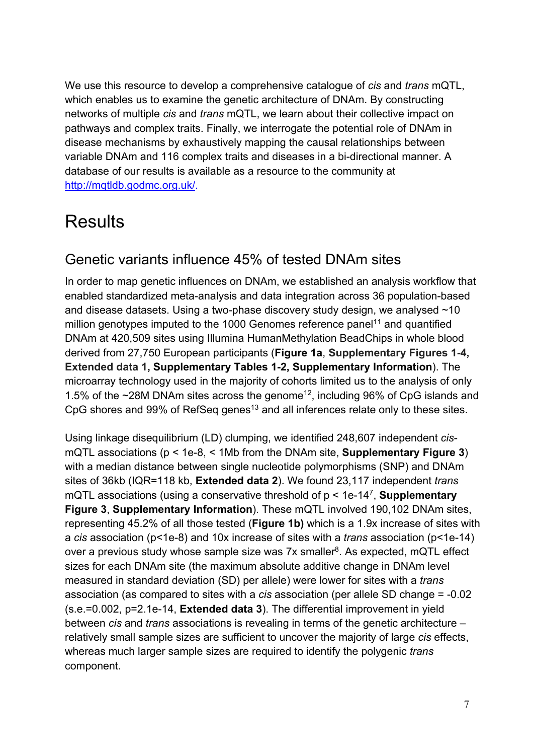We use this resource to develop a comprehensive catalogue of *cis* and *trans* mQTL, which enables us to examine the genetic architecture of DNAm. By constructing networks of multiple *cis* and *trans* mQTL, we learn about their collective impact on pathways and complex traits. Finally, we interrogate the potential role of DNAm in disease mechanisms by exhaustively mapping the causal relationships between variable DNAm and 116 complex traits and diseases in a bi-directional manner. A database of our results is available as a resource to the community at http://mqtldb.godmc.org.uk/.

## **Results**

## Genetic variants influence 45% of tested DNAm sites

In order to map genetic influences on DNAm, we established an analysis workflow that enabled standardized meta-analysis and data integration across 36 population-based and disease datasets. Using a two-phase discovery study design, we analysed ~10 million genotypes imputed to the 1000 Genomes reference panel<sup>11</sup> and quantified DNAm at 420,509 sites using Illumina HumanMethylation BeadChips in whole blood derived from 27,750 European participants (**Figure 1a**, **Supplementary Figures 1-4, Extended data 1, Supplementary Tables 1-2, Supplementary Information**). The microarray technology used in the majority of cohorts limited us to the analysis of only 1.5% of the  $\sim$ 28M DNAm sites across the genome<sup>12</sup>, including 96% of CpG islands and CpG shores and 99% of RefSeq genes<sup>13</sup> and all inferences relate only to these sites.

Using linkage disequilibrium (LD) clumping, we identified 248,607 independent *cis*mQTL associations (p < 1e-8, < 1Mb from the DNAm site, **Supplementary Figure 3**) with a median distance between single nucleotide polymorphisms (SNP) and DNAm sites of 36kb (IQR=118 kb, **Extended data 2**). We found 23,117 independent *trans* mQTL associations (using a conservative threshold of p < 1e-147, **Supplementary Figure 3**, **Supplementary Information**). These mQTL involved 190,102 DNAm sites, representing 45.2% of all those tested (**Figure 1b)** which is a 1.9x increase of sites with a *cis* association (p<1e-8) and 10x increase of sites with a *trans* association (p<1e-14) over a previous study whose sample size was  $7x$  smaller<sup>8</sup>. As expected, mQTL effect sizes for each DNAm site (the maximum absolute additive change in DNAm level measured in standard deviation (SD) per allele) were lower for sites with a *trans* association (as compared to sites with a *cis* association (per allele SD change = -0.02 (s.e.=0.002, p=2.1e-14, **Extended data 3**). The differential improvement in yield between *cis* and *trans* associations is revealing in terms of the genetic architecture – relatively small sample sizes are sufficient to uncover the majority of large *cis* effects, whereas much larger sample sizes are required to identify the polygenic *trans* component.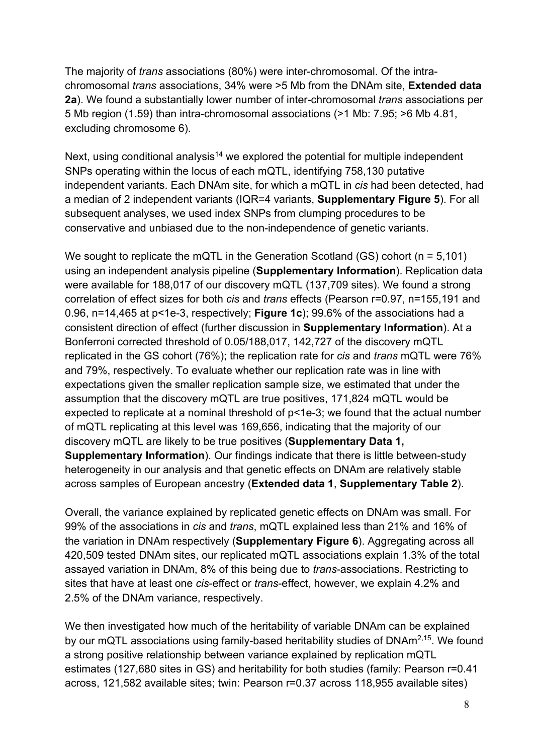The majority of *trans* associations (80%) were inter-chromosomal. Of the intrachromosomal *trans* associations, 34% were >5 Mb from the DNAm site, **Extended data 2a**). We found a substantially lower number of inter-chromosomal *trans* associations per 5 Mb region (1.59) than intra-chromosomal associations (>1 Mb: 7.95; >6 Mb 4.81, excluding chromosome 6).

Next, using conditional analysis<sup>14</sup> we explored the potential for multiple independent SNPs operating within the locus of each mQTL, identifying 758,130 putative independent variants. Each DNAm site, for which a mQTL in *cis* had been detected, had a median of 2 independent variants (IQR=4 variants, **Supplementary Figure 5**). For all subsequent analyses, we used index SNPs from clumping procedures to be conservative and unbiased due to the non-independence of genetic variants.

We sought to replicate the mQTL in the Generation Scotland (GS) cohort (n = 5,101) using an independent analysis pipeline (**Supplementary Information**). Replication data were available for 188,017 of our discovery mQTL (137,709 sites). We found a strong correlation of effect sizes for both *cis* and *trans* effects (Pearson r=0.97, n=155,191 and 0.96, n=14,465 at p<1e-3, respectively; **Figure 1c**); 99.6% of the associations had a consistent direction of effect (further discussion in **Supplementary Information**). At a Bonferroni corrected threshold of 0.05/188,017, 142,727 of the discovery mQTL replicated in the GS cohort (76%); the replication rate for *cis* and *trans* mQTL were 76% and 79%, respectively. To evaluate whether our replication rate was in line with expectations given the smaller replication sample size, we estimated that under the assumption that the discovery mQTL are true positives, 171,824 mQTL would be expected to replicate at a nominal threshold of p<1e-3; we found that the actual number of mQTL replicating at this level was 169,656, indicating that the majority of our discovery mQTL are likely to be true positives (**Supplementary Data 1, Supplementary Information**). Our findings indicate that there is little between-study heterogeneity in our analysis and that genetic effects on DNAm are relatively stable across samples of European ancestry (**Extended data 1**, **Supplementary Table 2**).

Overall, the variance explained by replicated genetic effects on DNAm was small. For 99% of the associations in *cis* and *trans*, mQTL explained less than 21% and 16% of the variation in DNAm respectively (**Supplementary Figure 6**). Aggregating across all 420,509 tested DNAm sites, our replicated mQTL associations explain 1.3% of the total assayed variation in DNAm, 8% of this being due to *trans*-associations. Restricting to sites that have at least one *cis*-effect or *trans*-effect, however, we explain 4.2% and 2.5% of the DNAm variance, respectively.

We then investigated how much of the heritability of variable DNAm can be explained by our mQTL associations using family-based heritability studies of DNAm<sup>2,15</sup>. We found a strong positive relationship between variance explained by replication mQTL estimates (127,680 sites in GS) and heritability for both studies (family: Pearson r=0.41 across, 121,582 available sites; twin: Pearson r=0.37 across 118,955 available sites)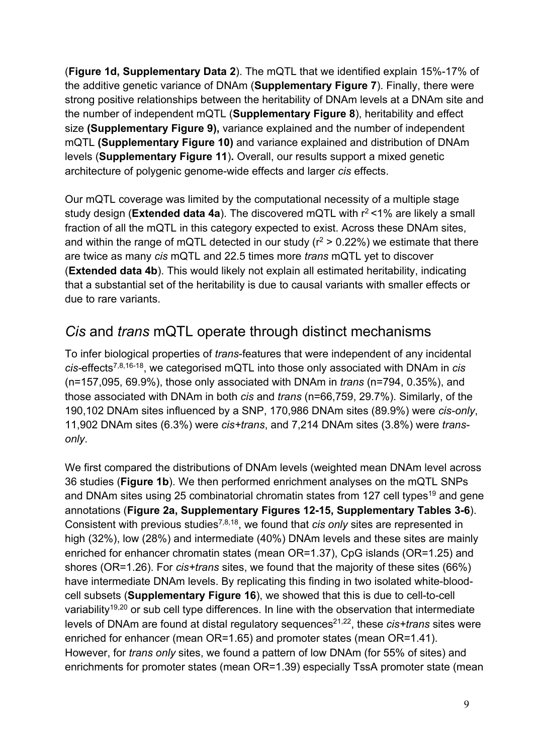(**Figure 1d, Supplementary Data 2**). The mQTL that we identified explain 15%-17% of the additive genetic variance of DNAm (**Supplementary Figure 7**). Finally, there were strong positive relationships between the heritability of DNAm levels at a DNAm site and the number of independent mQTL (**Supplementary Figure 8**), heritability and effect size **(Supplementary Figure 9),** variance explained and the number of independent mQTL **(Supplementary Figure 10)** and variance explained and distribution of DNAm levels (**Supplementary Figure 11**)**.** Overall, our results support a mixed genetic architecture of polygenic genome-wide effects and larger *cis* effects.

Our mQTL coverage was limited by the computational necessity of a multiple stage study design (**Extended data 4a**). The discovered mQTL with r<sup>2</sup> <1% are likely a small fraction of all the mQTL in this category expected to exist. Across these DNAm sites, and within the range of mQTL detected in our study ( $r^2 > 0.22\%$ ) we estimate that there are twice as many *cis* mQTL and 22.5 times more *trans* mQTL yet to discover (**Extended data 4b**). This would likely not explain all estimated heritability, indicating that a substantial set of the heritability is due to causal variants with smaller effects or due to rare variants.

## *Cis* and *trans* mQTL operate through distinct mechanisms

To infer biological properties of *trans*-features that were independent of any incidental *cis-*effects7,8,16-18, we categorised mQTL into those only associated with DNAm in *cis*  (n=157,095, 69.9%), those only associated with DNAm in *trans* (n=794, 0.35%), and those associated with DNAm in both *cis* and *trans* (n=66,759, 29.7%). Similarly, of the 190,102 DNAm sites influenced by a SNP, 170,986 DNAm sites (89.9%) were *cis-only*, 11,902 DNAm sites (6.3%) were *cis+trans*, and 7,214 DNAm sites (3.8%) were *transonly*.

We first compared the distributions of DNAm levels (weighted mean DNAm level across 36 studies (**Figure 1b**). We then performed enrichment analyses on the mQTL SNPs and DNAm sites using 25 combinatorial chromatin states from 127 cell types<sup>19</sup> and gene annotations (**Figure 2a, Supplementary Figures 12-15, Supplementary Tables 3-6**). Consistent with previous studies7,8,18, we found that *cis only* sites are represented in high (32%), low (28%) and intermediate (40%) DNAm levels and these sites are mainly enriched for enhancer chromatin states (mean OR=1.37), CpG islands (OR=1.25) and shores (OR=1.26). For *cis+trans* sites, we found that the majority of these sites (66%) have intermediate DNAm levels. By replicating this finding in two isolated white-bloodcell subsets (**Supplementary Figure 16**), we showed that this is due to cell-to-cell variability<sup>19,20</sup> or sub cell type differences. In line with the observation that intermediate levels of DNAm are found at distal regulatory sequences<sup>21,22</sup>, these *cis+trans* sites were enriched for enhancer (mean OR=1.65) and promoter states (mean OR=1.41). However, for *trans only* sites, we found a pattern of low DNAm (for 55% of sites) and enrichments for promoter states (mean OR=1.39) especially TssA promoter state (mean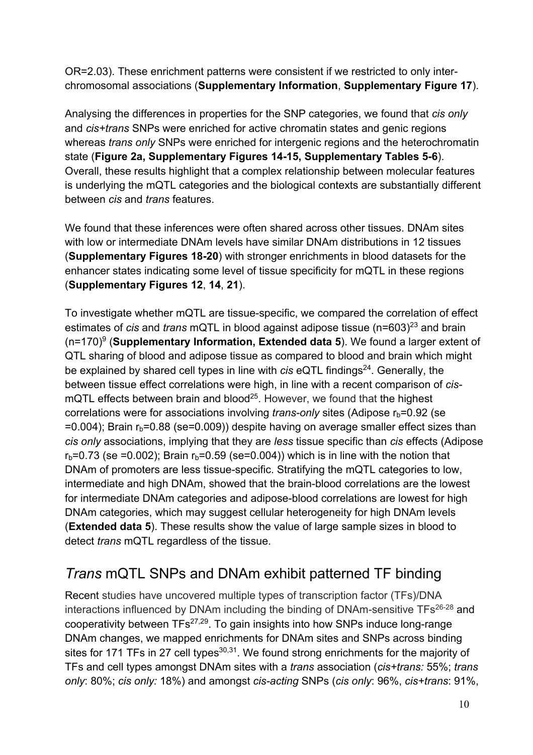OR=2.03). These enrichment patterns were consistent if we restricted to only interchromosomal associations (**Supplementary Information**, **Supplementary Figure 17**).

Analysing the differences in properties for the SNP categories, we found that *cis only* and *cis+trans* SNPs were enriched for active chromatin states and genic regions whereas *trans only* SNPs were enriched for intergenic regions and the heterochromatin state (**Figure 2a, Supplementary Figures 14-15, Supplementary Tables 5-6**). Overall, these results highlight that a complex relationship between molecular features is underlying the mQTL categories and the biological contexts are substantially different between *cis* and *trans* features.

We found that these inferences were often shared across other tissues. DNAm sites with low or intermediate DNAm levels have similar DNAm distributions in 12 tissues (**Supplementary Figures 18-20**) with stronger enrichments in blood datasets for the enhancer states indicating some level of tissue specificity for mQTL in these regions (**Supplementary Figures 12**, **14**, **21**).

To investigate whether mQTL are tissue-specific, we compared the correlation of effect estimates of *cis* and *trans* mQTL in blood against adipose tissue (n=603)<sup>23</sup> and brain (n=170)9 (**Supplementary Information, Extended data 5**). We found a larger extent of QTL sharing of blood and adipose tissue as compared to blood and brain which might be explained by shared cell types in line with *cis* eQTL findings<sup>24</sup>. Generally, the between tissue effect correlations were high, in line with a recent comparison of *cis*mQTL effects between brain and blood<sup>25</sup>. However, we found that the highest correlations were for associations involving *trans-only* sites (Adipose r<sub>b</sub>=0.92 (se  $=0.004$ ); Brain  $r_b=0.88$  (se=0.009)) despite having on average smaller effect sizes than *cis only* associations, implying that they are *less* tissue specific than *cis* effects (Adipose  $r_b$ =0.73 (se =0.002); Brain  $r_b$ =0.59 (se=0.004)) which is in line with the notion that DNAm of promoters are less tissue-specific. Stratifying the mQTL categories to low, intermediate and high DNAm, showed that the brain-blood correlations are the lowest for intermediate DNAm categories and adipose-blood correlations are lowest for high DNAm categories, which may suggest cellular heterogeneity for high DNAm levels (**Extended data 5**). These results show the value of large sample sizes in blood to detect *trans* mQTL regardless of the tissue.

## *Trans* mQTL SNPs and DNAm exhibit patterned TF binding

Recent studies have uncovered multiple types of transcription factor (TFs)/DNA interactions influenced by DNAm including the binding of DNAm-sensitive TFs<sup>26-28</sup> and cooperativity between TFs27,29. To gain insights into how SNPs induce long-range DNAm changes, we mapped enrichments for DNAm sites and SNPs across binding sites for 171 TFs in 27 cell types $30,31$ . We found strong enrichments for the majority of TFs and cell types amongst DNAm sites with a *trans* association (*cis+trans:* 55%; *trans only*: 80%; *cis only:* 18%) and amongst *cis-acting* SNPs (*cis only*: 96%, *cis+trans*: 91%,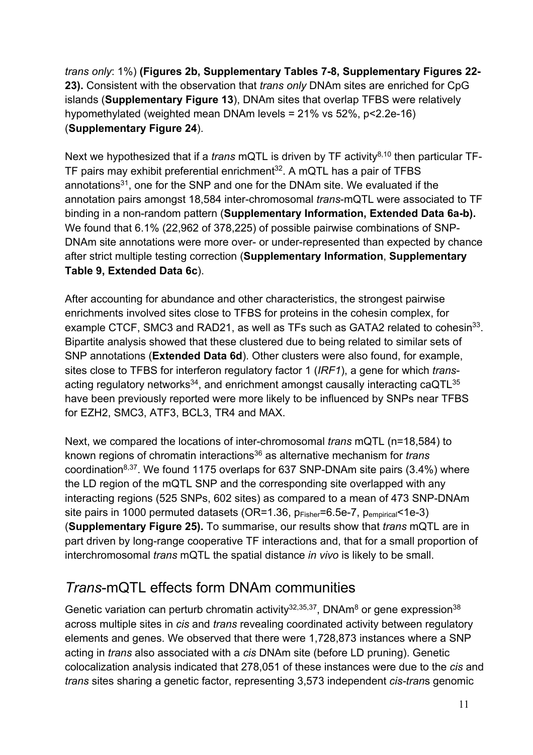*trans only*: 1%) **(Figures 2b, Supplementary Tables 7-8, Supplementary Figures 22- 23).** Consistent with the observation that *trans only* DNAm sites are enriched for CpG islands (**Supplementary Figure 13**), DNAm sites that overlap TFBS were relatively hypomethylated (weighted mean DNAm levels = 21% vs 52%, p<2.2e-16) (**Supplementary Figure 24**).

Next we hypothesized that if a *trans* mQTL is driven by TF activity<sup>8,10</sup> then particular TF-TF pairs may exhibit preferential enrichment $32$ . A mQTL has a pair of TFBS annotations<sup>31</sup>, one for the SNP and one for the DNAm site. We evaluated if the annotation pairs amongst 18,584 inter-chromosomal *trans*-mQTL were associated to TF binding in a non-random pattern (**Supplementary Information, Extended Data 6a-b).** We found that 6.1% (22,962 of 378,225) of possible pairwise combinations of SNP-DNAm site annotations were more over- or under-represented than expected by chance after strict multiple testing correction (**Supplementary Information**, **Supplementary Table 9, Extended Data 6c**).

After accounting for abundance and other characteristics, the strongest pairwise enrichments involved sites close to TFBS for proteins in the cohesin complex, for example CTCF, SMC3 and RAD21, as well as TFs such as GATA2 related to cohesin<sup>33</sup>. Bipartite analysis showed that these clustered due to being related to similar sets of SNP annotations (**Extended Data 6d**). Other clusters were also found, for example, sites close to TFBS for interferon regulatory factor 1 (*IRF1*), a gene for which *trans*acting regulatory networks<sup>34</sup>, and enrichment amongst causally interacting caQTL<sup>35</sup> have been previously reported were more likely to be influenced by SNPs near TFBS for EZH2, SMC3, ATF3, BCL3, TR4 and MAX.

Next, we compared the locations of inter-chromosomal *trans* mQTL (n=18,584) to known regions of chromatin interactions36 as alternative mechanism for *trans* coordination<sup>8,37</sup>. We found 1175 overlaps for 637 SNP-DNAm site pairs  $(3.4\%)$  where the LD region of the mQTL SNP and the corresponding site overlapped with any interacting regions (525 SNPs, 602 sites) as compared to a mean of 473 SNP-DNAm site pairs in 1000 permuted datasets (OR=1.36, pFisher=6.5e-7, pempirical<1e-3) (**Supplementary Figure 25).** To summarise, our results show that *trans* mQTL are in part driven by long-range cooperative TF interactions and, that for a small proportion of interchromosomal *trans* mQTL the spatial distance *in vivo* is likely to be small.

## *Trans*-mQTL effects form DNAm communities

Genetic variation can perturb chromatin activity<sup>32,35,37</sup>, DNAm<sup>8</sup> or gene expression<sup>38</sup> across multiple sites in *cis* and *trans* revealing coordinated activity between regulatory elements and genes. We observed that there were 1,728,873 instances where a SNP acting in *trans* also associated with a *cis* DNAm site (before LD pruning). Genetic colocalization analysis indicated that 278,051 of these instances were due to the *cis* and *trans* sites sharing a genetic factor, representing 3,573 independent *cis-tran*s genomic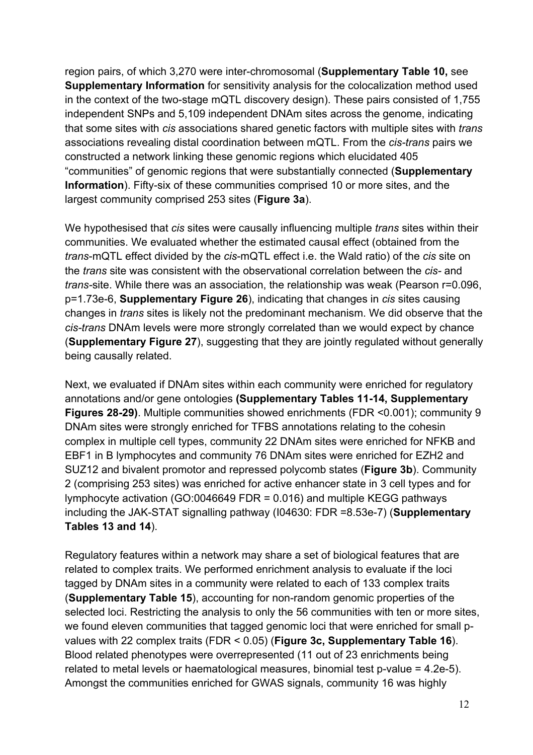region pairs, of which 3,270 were inter-chromosomal (**Supplementary Table 10,** see **Supplementary Information** for sensitivity analysis for the colocalization method used in the context of the two-stage mQTL discovery design). These pairs consisted of 1,755 independent SNPs and 5,109 independent DNAm sites across the genome, indicating that some sites with *cis* associations shared genetic factors with multiple sites with *trans* associations revealing distal coordination between mQTL. From the *cis-trans* pairs we constructed a network linking these genomic regions which elucidated 405 "communities" of genomic regions that were substantially connected (**Supplementary Information**). Fifty-six of these communities comprised 10 or more sites, and the largest community comprised 253 sites (**Figure 3a**).

We hypothesised that *cis* sites were causally influencing multiple *trans* sites within their communities. We evaluated whether the estimated causal effect (obtained from the *trans*-mQTL effect divided by the *cis*-mQTL effect i.e. the Wald ratio) of the *cis* site on the *trans* site was consistent with the observational correlation between the *cis-* and *trans-*site. While there was an association, the relationship was weak (Pearson r=0.096, p=1.73e-6, **Supplementary Figure 26**), indicating that changes in *cis* sites causing changes in *trans* sites is likely not the predominant mechanism. We did observe that the *cis-trans* DNAm levels were more strongly correlated than we would expect by chance (**Supplementary Figure 27**), suggesting that they are jointly regulated without generally being causally related.

Next, we evaluated if DNAm sites within each community were enriched for regulatory annotations and/or gene ontologies **(Supplementary Tables 11-14, Supplementary Figures 28-29)**. Multiple communities showed enrichments (FDR <0.001); community 9 DNAm sites were strongly enriched for TFBS annotations relating to the cohesin complex in multiple cell types, community 22 DNAm sites were enriched for NFKB and EBF1 in B lymphocytes and community 76 DNAm sites were enriched for EZH2 and SUZ12 and bivalent promotor and repressed polycomb states (**Figure 3b**). Community 2 (comprising 253 sites) was enriched for active enhancer state in 3 cell types and for lymphocyte activation (GO:0046649 FDR = 0.016) and multiple KEGG pathways including the JAK-STAT signalling pathway (I04630: FDR =8.53e-7) (**Supplementary Tables 13 and 14**).

Regulatory features within a network may share a set of biological features that are related to complex traits. We performed enrichment analysis to evaluate if the loci tagged by DNAm sites in a community were related to each of 133 complex traits (**Supplementary Table 15**), accounting for non-random genomic properties of the selected loci. Restricting the analysis to only the 56 communities with ten or more sites, we found eleven communities that tagged genomic loci that were enriched for small pvalues with 22 complex traits (FDR < 0.05) (**Figure 3c, Supplementary Table 16**). Blood related phenotypes were overrepresented (11 out of 23 enrichments being related to metal levels or haematological measures, binomial test p-value = 4.2e-5). Amongst the communities enriched for GWAS signals, community 16 was highly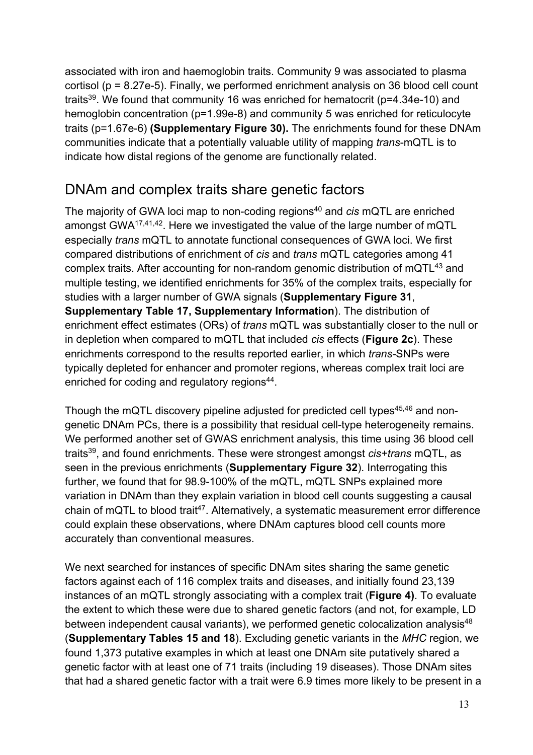associated with iron and haemoglobin traits. Community 9 was associated to plasma cortisol (p = 8.27e-5). Finally, we performed enrichment analysis on 36 blood cell count traits<sup>39</sup>. We found that community 16 was enriched for hematocrit (p=4.34e-10) and hemoglobin concentration (p=1.99e-8) and community 5 was enriched for reticulocyte traits (p=1.67e-6) **(Supplementary Figure 30).** The enrichments found for these DNAm communities indicate that a potentially valuable utility of mapping *trans*-mQTL is to indicate how distal regions of the genome are functionally related.

## DNAm and complex traits share genetic factors

The majority of GWA loci map to non-coding regions<sup>40</sup> and *cis* mQTL are enriched amongst GWA17,41,42. Here we investigated the value of the large number of mQTL especially *trans* mQTL to annotate functional consequences of GWA loci. We first compared distributions of enrichment of *cis* and *trans* mQTL categories among 41 complex traits. After accounting for non-random genomic distribution of mQTL<sup>43</sup> and multiple testing, we identified enrichments for 35% of the complex traits, especially for studies with a larger number of GWA signals (**Supplementary Figure 31**, **Supplementary Table 17, Supplementary Information**). The distribution of enrichment effect estimates (ORs) of *trans* mQTL was substantially closer to the null or in depletion when compared to mQTL that included *cis* effects (**Figure 2c**). These enrichments correspond to the results reported earlier, in which *trans-*SNPs were typically depleted for enhancer and promoter regions, whereas complex trait loci are enriched for coding and regulatory regions<sup>44</sup>.

Though the mQTL discovery pipeline adjusted for predicted cell types<sup>45,46</sup> and nongenetic DNAm PCs, there is a possibility that residual cell-type heterogeneity remains. We performed another set of GWAS enrichment analysis, this time using 36 blood cell traits39, and found enrichments. These were strongest amongst *cis+trans* mQTL, as seen in the previous enrichments (**Supplementary Figure 32**). Interrogating this further, we found that for 98.9-100% of the mQTL, mQTL SNPs explained more variation in DNAm than they explain variation in blood cell counts suggesting a causal chain of mQTL to blood trait<sup>47</sup>. Alternatively, a systematic measurement error difference could explain these observations, where DNAm captures blood cell counts more accurately than conventional measures.

We next searched for instances of specific DNAm sites sharing the same genetic factors against each of 116 complex traits and diseases, and initially found 23,139 instances of an mQTL strongly associating with a complex trait (**Figure 4)**. To evaluate the extent to which these were due to shared genetic factors (and not, for example, LD between independent causal variants), we performed genetic colocalization analysis<sup>48</sup> (**Supplementary Tables 15 and 18**). Excluding genetic variants in the *MHC* region, we found 1,373 putative examples in which at least one DNAm site putatively shared a genetic factor with at least one of 71 traits (including 19 diseases). Those DNAm sites that had a shared genetic factor with a trait were 6.9 times more likely to be present in a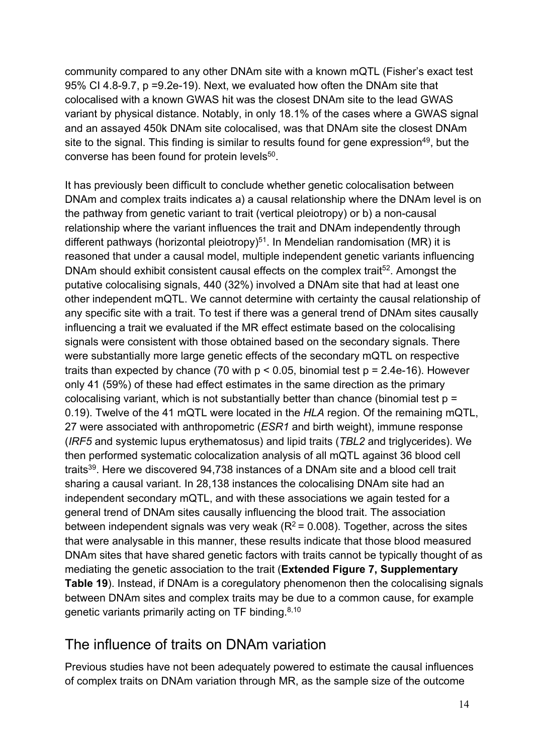community compared to any other DNAm site with a known mQTL (Fisher's exact test 95% CI 4.8-9.7, p =9.2e-19). Next, we evaluated how often the DNAm site that colocalised with a known GWAS hit was the closest DNAm site to the lead GWAS variant by physical distance. Notably, in only 18.1% of the cases where a GWAS signal and an assayed 450k DNAm site colocalised, was that DNAm site the closest DNAm site to the signal. This finding is similar to results found for gene expression<sup>49</sup>, but the converse has been found for protein levels<sup>50</sup>.

It has previously been difficult to conclude whether genetic colocalisation between DNAm and complex traits indicates a) a causal relationship where the DNAm level is on the pathway from genetic variant to trait (vertical pleiotropy) or b) a non-causal relationship where the variant influences the trait and DNAm independently through different pathways (horizontal pleiotropy)<sup>51</sup>. In Mendelian randomisation (MR) it is reasoned that under a causal model, multiple independent genetic variants influencing DNAm should exhibit consistent causal effects on the complex trait<sup>52</sup>. Amongst the putative colocalising signals, 440 (32%) involved a DNAm site that had at least one other independent mQTL. We cannot determine with certainty the causal relationship of any specific site with a trait. To test if there was a general trend of DNAm sites causally influencing a trait we evaluated if the MR effect estimate based on the colocalising signals were consistent with those obtained based on the secondary signals. There were substantially more large genetic effects of the secondary mQTL on respective traits than expected by chance (70 with  $p < 0.05$ , binomial test  $p = 2.4e-16$ ). However only 41 (59%) of these had effect estimates in the same direction as the primary colocalising variant, which is not substantially better than chance (binomial test  $p =$ 0.19). Twelve of the 41 mQTL were located in the *HLA* region. Of the remaining mQTL, 27 were associated with anthropometric (*ESR1* and birth weight), immune response (*IRF5* and systemic lupus erythematosus) and lipid traits (*TBL2* and triglycerides). We then performed systematic colocalization analysis of all mQTL against 36 blood cell traits39. Here we discovered 94,738 instances of a DNAm site and a blood cell trait sharing a causal variant. In 28,138 instances the colocalising DNAm site had an independent secondary mQTL, and with these associations we again tested for a general trend of DNAm sites causally influencing the blood trait. The association between independent signals was very weak ( $R^2$  = 0.008). Together, across the sites that were analysable in this manner, these results indicate that those blood measured DNAm sites that have shared genetic factors with traits cannot be typically thought of as mediating the genetic association to the trait (**Extended Figure 7, Supplementary Table 19**). Instead, if DNAm is a coregulatory phenomenon then the colocalising signals between DNAm sites and complex traits may be due to a common cause, for example genetic variants primarily acting on TF binding.<sup>8,10</sup>

### The influence of traits on DNAm variation

Previous studies have not been adequately powered to estimate the causal influences of complex traits on DNAm variation through MR, as the sample size of the outcome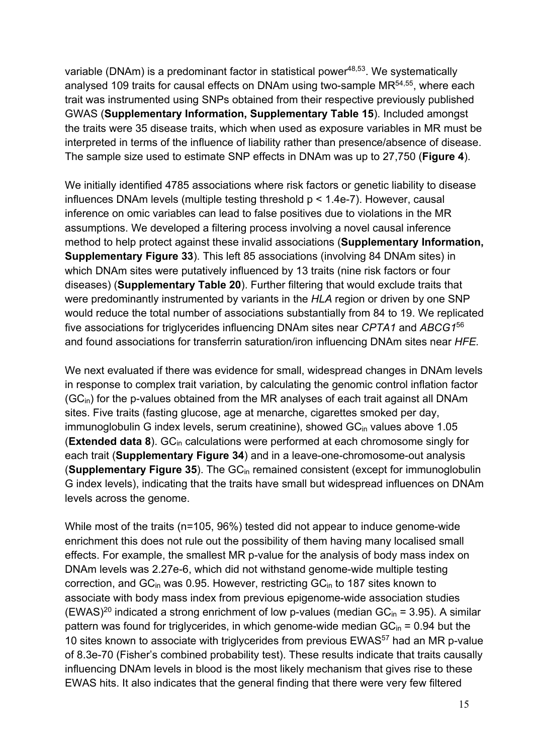variable (DNAm) is a predominant factor in statistical power $48,53$ . We systematically analysed 109 traits for causal effects on DNAm using two-sample MR<sup>54,55</sup>, where each trait was instrumented using SNPs obtained from their respective previously published GWAS (**Supplementary Information, Supplementary Table 15**). Included amongst the traits were 35 disease traits, which when used as exposure variables in MR must be interpreted in terms of the influence of liability rather than presence/absence of disease. The sample size used to estimate SNP effects in DNAm was up to 27,750 (**Figure 4**).

We initially identified 4785 associations where risk factors or genetic liability to disease influences DNAm levels (multiple testing threshold p < 1.4e-7). However, causal inference on omic variables can lead to false positives due to violations in the MR assumptions. We developed a filtering process involving a novel causal inference method to help protect against these invalid associations (**Supplementary Information, Supplementary Figure 33**). This left 85 associations (involving 84 DNAm sites) in which DNAm sites were putatively influenced by 13 traits (nine risk factors or four diseases) (**Supplementary Table 20**). Further filtering that would exclude traits that were predominantly instrumented by variants in the *HLA* region or driven by one SNP would reduce the total number of associations substantially from 84 to 19. We replicated five associations for triglycerides influencing DNAm sites near *CPTA1* and *ABCG1*<sup>56</sup> and found associations for transferrin saturation/iron influencing DNAm sites near *HFE.*

We next evaluated if there was evidence for small, widespread changes in DNAm levels in response to complex trait variation, by calculating the genomic control inflation factor  $(GC<sub>in</sub>)$  for the p-values obtained from the MR analyses of each trait against all DNAm sites. Five traits (fasting glucose, age at menarche, cigarettes smoked per day, immunoglobulin G index levels, serum creatinine), showed GC<sub>in</sub> values above 1.05 (**Extended data 8**). GC<sub>in</sub> calculations were performed at each chromosome singly for each trait (**Supplementary Figure 34**) and in a leave-one-chromosome-out analysis (**Supplementary Figure 35**). The GCin remained consistent (except for immunoglobulin G index levels), indicating that the traits have small but widespread influences on DNAm levels across the genome.

While most of the traits (n=105, 96%) tested did not appear to induce genome-wide enrichment this does not rule out the possibility of them having many localised small effects. For example, the smallest MR p-value for the analysis of body mass index on DNAm levels was 2.27e-6, which did not withstand genome-wide multiple testing correction, and  $GC<sub>in</sub>$  was 0.95. However, restricting  $GC<sub>in</sub>$  to 187 sites known to associate with body mass index from previous epigenome-wide association studies (EWAS)<sup>20</sup> indicated a strong enrichment of low p-values (median  $GC<sub>in</sub> = 3.95$ ). A similar pattern was found for triglycerides, in which genome-wide median  $GC_{in} = 0.94$  but the 10 sites known to associate with triglycerides from previous EWAS<sup>57</sup> had an MR p-value of 8.3e-70 (Fisher's combined probability test). These results indicate that traits causally influencing DNAm levels in blood is the most likely mechanism that gives rise to these EWAS hits. It also indicates that the general finding that there were very few filtered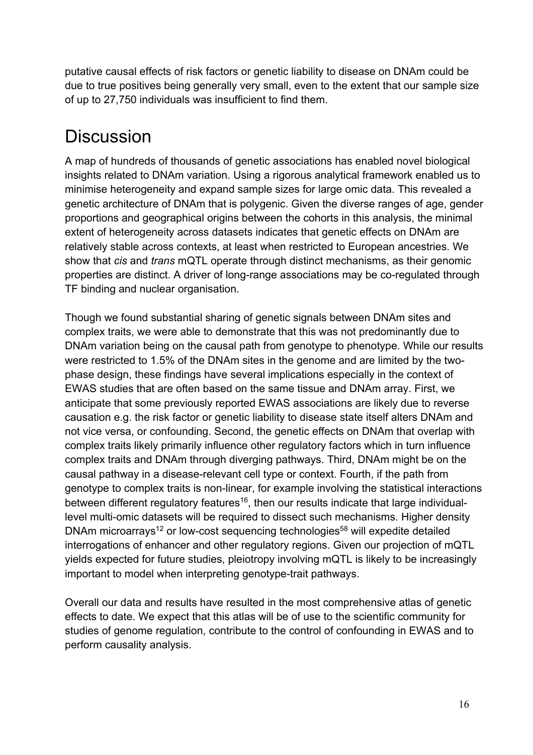putative causal effects of risk factors or genetic liability to disease on DNAm could be due to true positives being generally very small, even to the extent that our sample size of up to 27,750 individuals was insufficient to find them.

## **Discussion**

A map of hundreds of thousands of genetic associations has enabled novel biological insights related to DNAm variation. Using a rigorous analytical framework enabled us to minimise heterogeneity and expand sample sizes for large omic data. This revealed a genetic architecture of DNAm that is polygenic. Given the diverse ranges of age, gender proportions and geographical origins between the cohorts in this analysis, the minimal extent of heterogeneity across datasets indicates that genetic effects on DNAm are relatively stable across contexts, at least when restricted to European ancestries. We show that *cis* and *trans* mQTL operate through distinct mechanisms, as their genomic properties are distinct. A driver of long-range associations may be co-regulated through TF binding and nuclear organisation.

Though we found substantial sharing of genetic signals between DNAm sites and complex traits, we were able to demonstrate that this was not predominantly due to DNAm variation being on the causal path from genotype to phenotype. While our results were restricted to 1.5% of the DNAm sites in the genome and are limited by the twophase design, these findings have several implications especially in the context of EWAS studies that are often based on the same tissue and DNAm array. First, we anticipate that some previously reported EWAS associations are likely due to reverse causation e.g. the risk factor or genetic liability to disease state itself alters DNAm and not vice versa, or confounding. Second, the genetic effects on DNAm that overlap with complex traits likely primarily influence other regulatory factors which in turn influence complex traits and DNAm through diverging pathways. Third, DNAm might be on the causal pathway in a disease-relevant cell type or context. Fourth, if the path from genotype to complex traits is non-linear, for example involving the statistical interactions between different regulatory features<sup>16</sup>, then our results indicate that large individuallevel multi-omic datasets will be required to dissect such mechanisms. Higher density DNAm microarrays<sup>12</sup> or low-cost sequencing technologies<sup>58</sup> will expedite detailed interrogations of enhancer and other regulatory regions. Given our projection of mQTL yields expected for future studies, pleiotropy involving mQTL is likely to be increasingly important to model when interpreting genotype-trait pathways.

Overall our data and results have resulted in the most comprehensive atlas of genetic effects to date. We expect that this atlas will be of use to the scientific community for studies of genome regulation, contribute to the control of confounding in EWAS and to perform causality analysis.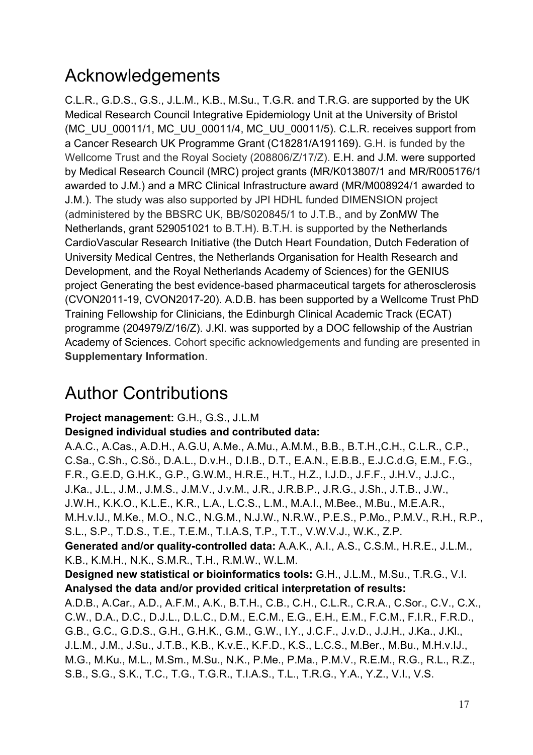## Acknowledgements

C.L.R., G.D.S., G.S., J.L.M., K.B., M.Su., T.G.R. and T.R.G. are supported by the UK Medical Research Council Integrative Epidemiology Unit at the University of Bristol (MC\_UU\_00011/1, MC\_UU\_00011/4, MC\_UU\_00011/5). C.L.R. receives support from a Cancer Research UK Programme Grant (C18281/A191169). G.H. is funded by the Wellcome Trust and the Royal Society (208806/Z/17/Z). E.H. and J.M. were supported by Medical Research Council (MRC) project grants (MR/K013807/1 and MR/R005176/1 awarded to J.M.) and a MRC Clinical Infrastructure award (MR/M008924/1 awarded to J.M.). The study was also supported by JPI HDHL funded DIMENSION project (administered by the BBSRC UK, BB/S020845/1 to J.T.B., and by ZonMW The Netherlands, grant 529051021 to B.T.H). B.T.H. is supported by the Netherlands CardioVascular Research Initiative (the Dutch Heart Foundation, Dutch Federation of University Medical Centres, the Netherlands Organisation for Health Research and Development, and the Royal Netherlands Academy of Sciences) for the GENIUS project Generating the best evidence-based pharmaceutical targets for atherosclerosis (CVON2011-19, CVON2017-20). A.D.B. has been supported by a Wellcome Trust PhD Training Fellowship for Clinicians, the Edinburgh Clinical Academic Track (ECAT) programme (204979/Z/16/Z). J.Kl. was supported by a DOC fellowship of the Austrian Academy of Sciences. Cohort specific acknowledgements and funding are presented in **Supplementary Information**.

## Author Contributions

#### **Project management:** G.H., G.S., J.L.M

#### **Designed individual studies and contributed data:**

A.A.C., A.Cas., A.D.H., A.G.U, A.Me., A.Mu., A.M.M., B.B., B.T.H.,C.H., C.L.R., C.P., C.Sa., C.Sh., C.Sö., D.A.L., D.v.H., D.I.B., D.T., E.A.N., E.B.B., E.J.C.d.G, E.M., F.G., F.R., G.E.D, G.H.K., G.P., G.W.M., H.R.E., H.T., H.Z., I.J.D., J.F.F., J.H.V., J.J.C., J.Ka., J.L., J.M., J.M.S., J.M.V., J.v.M., J.R., J.R.B.P., J.R.G., J.Sh., J.T.B., J.W., J.W.H., K.K.O., K.L.E., K.R., L.A., L.C.S., L.M., M.A.I., M.Bee., M.Bu., M.E.A.R., M.H.v.IJ., M.Ke., M.O., N.C., N.G.M., N.J.W., N.R.W., P.E.S., P.Mo., P.M.V., R.H., R.P., S.L., S.P., T.D.S., T.E., T.E.M., T.I.A.S, T.P., T.T., V.W.V.J., W.K., Z.P.

**Generated and/or quality-controlled data:** A.A.K., A.I., A.S., C.S.M., H.R.E., J.L.M., K.B., K.M.H., N.K., S.M.R., T.H., R.M.W., W.L.M.

**Designed new statistical or bioinformatics tools:** G.H., J.L.M., M.Su., T.R.G., V.I. **Analysed the data and/or provided critical interpretation of results:** 

A.D.B., A.Car., A.D., A.F.M., A.K., B.T.H., C.B., C.H., C.L.R., C.R.A., C.Sor., C.V., C.X., C.W., D.A., D.C., D.J.L., D.L.C., D.M., E.C.M., E.G., E.H., E.M., F.C.M., F.I.R., F.R.D., G.B., G.C., G.D.S., G.H., G.H.K., G.M., G.W., I.Y., J.C.F., J.v.D., J.J.H., J.Ka., J.Kl., J.L.M., J.M., J.Su., J.T.B., K.B., K.v.E., K.F.D., K.S., L.C.S., M.Ber., M.Bu., M.H.v.IJ., M.G., M.Ku., M.L., M.Sm., M.Su., N.K., P.Me., P.Ma., P.M.V., R.E.M., R.G., R.L., R.Z., S.B., S.G., S.K., T.C., T.G., T.G.R., T.I.A.S., T.L., T.R.G., Y.A., Y.Z., V.I., V.S.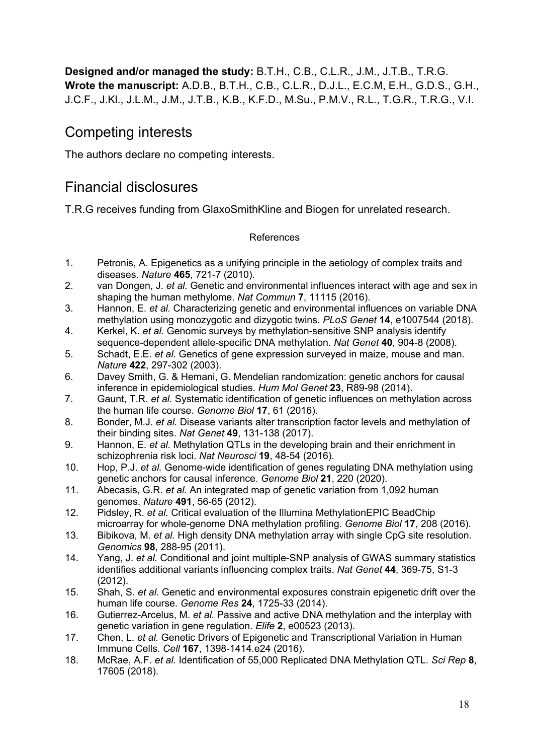**Designed and/or managed the study:** B.T.H., C.B., C.L.R., J.M., J.T.B., T.R.G. **Wrote the manuscript:** A.D.B., B.T.H., C.B., C.L.R., D.J.L., E.C.M, E.H., G.D.S., G.H., J.C.F., J.Kl., J.L.M., J.M., J.T.B., K.B., K.F.D., M.Su., P.M.V., R.L., T.G.R., T.R.G., V.I.

### Competing interests

The authors declare no competing interests.

## Financial disclosures

T.R.G receives funding from GlaxoSmithKline and Biogen for unrelated research.

#### References

- 1. Petronis, A. Epigenetics as a unifying principle in the aetiology of complex traits and diseases. *Nature* **465**, 721-7 (2010).
- 2. van Dongen, J. *et al.* Genetic and environmental influences interact with age and sex in shaping the human methylome. *Nat Commun* **7**, 11115 (2016).
- 3. Hannon, E. *et al.* Characterizing genetic and environmental influences on variable DNA methylation using monozygotic and dizygotic twins. *PLoS Genet* **14**, e1007544 (2018).
- 4. Kerkel, K. *et al.* Genomic surveys by methylation-sensitive SNP analysis identify sequence-dependent allele-specific DNA methylation. *Nat Genet* **40**, 904-8 (2008).
- 5. Schadt, E.E. *et al.* Genetics of gene expression surveyed in maize, mouse and man. *Nature* **422**, 297-302 (2003).
- 6. Davey Smith, G. & Hemani, G. Mendelian randomization: genetic anchors for causal inference in epidemiological studies. *Hum Mol Genet* **23**, R89-98 (2014).
- 7. Gaunt, T.R. *et al.* Systematic identification of genetic influences on methylation across the human life course. *Genome Biol* **17**, 61 (2016).
- 8. Bonder, M.J. *et al.* Disease variants alter transcription factor levels and methylation of their binding sites. *Nat Genet* **49**, 131-138 (2017).
- 9. Hannon, E. *et al.* Methylation QTLs in the developing brain and their enrichment in schizophrenia risk loci. *Nat Neurosci* **19**, 48-54 (2016).
- 10. Hop, P.J. *et al.* Genome-wide identification of genes regulating DNA methylation using genetic anchors for causal inference. *Genome Biol* **21**, 220 (2020).
- 11. Abecasis, G.R. *et al.* An integrated map of genetic variation from 1,092 human genomes. *Nature* **491**, 56-65 (2012).
- 12. Pidsley, R. *et al.* Critical evaluation of the Illumina MethylationEPIC BeadChip microarray for whole-genome DNA methylation profiling. *Genome Biol* **17**, 208 (2016).
- 13. Bibikova, M. *et al.* High density DNA methylation array with single CpG site resolution. *Genomics* **98**, 288-95 (2011).
- 14. Yang, J. *et al.* Conditional and joint multiple-SNP analysis of GWAS summary statistics identifies additional variants influencing complex traits. *Nat Genet* **44**, 369-75, S1-3 (2012).
- 15. Shah, S. *et al.* Genetic and environmental exposures constrain epigenetic drift over the human life course. *Genome Res* **24**, 1725-33 (2014).
- 16. Gutierrez-Arcelus, M. *et al.* Passive and active DNA methylation and the interplay with genetic variation in gene regulation. *Elife* **2**, e00523 (2013).
- 17. Chen, L. *et al.* Genetic Drivers of Epigenetic and Transcriptional Variation in Human Immune Cells. *Cell* **167**, 1398-1414.e24 (2016).
- 18. McRae, A.F. *et al.* Identification of 55,000 Replicated DNA Methylation QTL. *Sci Rep* **8**, 17605 (2018).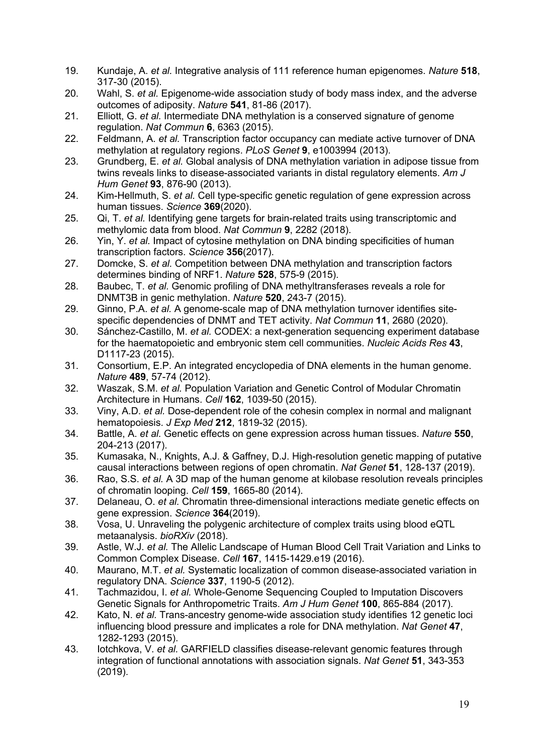- 19. Kundaje, A. *et al.* Integrative analysis of 111 reference human epigenomes. *Nature* **518**, 317-30 (2015).
- 20. Wahl, S. *et al.* Epigenome-wide association study of body mass index, and the adverse outcomes of adiposity. *Nature* **541**, 81-86 (2017).
- 21. Elliott, G. *et al.* Intermediate DNA methylation is a conserved signature of genome regulation. *Nat Commun* **6**, 6363 (2015).
- 22. Feldmann, A. *et al.* Transcription factor occupancy can mediate active turnover of DNA methylation at regulatory regions. *PLoS Genet* **9**, e1003994 (2013).
- 23. Grundberg, E. *et al.* Global analysis of DNA methylation variation in adipose tissue from twins reveals links to disease-associated variants in distal regulatory elements. *Am J Hum Genet* **93**, 876-90 (2013).
- 24. Kim-Hellmuth, S. *et al.* Cell type-specific genetic regulation of gene expression across human tissues. *Science* **369**(2020).
- 25. Qi, T. *et al.* Identifying gene targets for brain-related traits using transcriptomic and methylomic data from blood. *Nat Commun* **9**, 2282 (2018).
- 26. Yin, Y. *et al.* Impact of cytosine methylation on DNA binding specificities of human transcription factors. *Science* **356**(2017).
- 27. Domcke, S. *et al.* Competition between DNA methylation and transcription factors determines binding of NRF1. *Nature* **528**, 575-9 (2015).
- 28. Baubec, T. *et al.* Genomic profiling of DNA methyltransferases reveals a role for DNMT3B in genic methylation. *Nature* **520**, 243-7 (2015).
- 29. Ginno, P.A. *et al.* A genome-scale map of DNA methylation turnover identifies sitespecific dependencies of DNMT and TET activity. *Nat Commun* **11**, 2680 (2020).
- 30. Sánchez-Castillo, M. *et al.* CODEX: a next-generation sequencing experiment database for the haematopoietic and embryonic stem cell communities. *Nucleic Acids Res* **43**, D1117-23 (2015).
- 31. Consortium, E.P. An integrated encyclopedia of DNA elements in the human genome. *Nature* **489**, 57-74 (2012).
- 32. Waszak, S.M. *et al.* Population Variation and Genetic Control of Modular Chromatin Architecture in Humans. *Cell* **162**, 1039-50 (2015).
- 33. Viny, A.D. *et al.* Dose-dependent role of the cohesin complex in normal and malignant hematopoiesis. *J Exp Med* **212**, 1819-32 (2015).
- 34. Battle, A. *et al.* Genetic effects on gene expression across human tissues. *Nature* **550**, 204-213 (2017).
- 35. Kumasaka, N., Knights, A.J. & Gaffney, D.J. High-resolution genetic mapping of putative causal interactions between regions of open chromatin. *Nat Genet* **51**, 128-137 (2019).
- 36. Rao, S.S. *et al.* A 3D map of the human genome at kilobase resolution reveals principles of chromatin looping. *Cell* **159**, 1665-80 (2014).
- 37. Delaneau, O. *et al.* Chromatin three-dimensional interactions mediate genetic effects on gene expression. *Science* **364**(2019).
- 38. Vosa, U. Unraveling the polygenic architecture of complex traits using blood eQTL metaanalysis. *bioRXiv* (2018).
- 39. Astle, W.J. *et al.* The Allelic Landscape of Human Blood Cell Trait Variation and Links to Common Complex Disease. *Cell* **167**, 1415-1429.e19 (2016).
- 40. Maurano, M.T. *et al.* Systematic localization of common disease-associated variation in regulatory DNA. *Science* **337**, 1190-5 (2012).
- 41. Tachmazidou, I. *et al.* Whole-Genome Sequencing Coupled to Imputation Discovers Genetic Signals for Anthropometric Traits. *Am J Hum Genet* **100**, 865-884 (2017).
- 42. Kato, N. *et al.* Trans-ancestry genome-wide association study identifies 12 genetic loci influencing blood pressure and implicates a role for DNA methylation. *Nat Genet* **47**, 1282-1293 (2015).
- 43. Iotchkova, V. *et al.* GARFIELD classifies disease-relevant genomic features through integration of functional annotations with association signals. *Nat Genet* **51**, 343-353 (2019).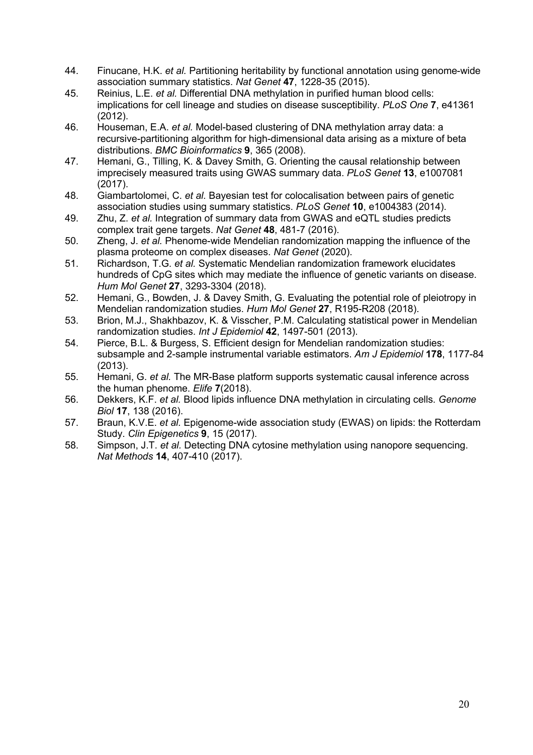- 44. Finucane, H.K. *et al.* Partitioning heritability by functional annotation using genome-wide association summary statistics. *Nat Genet* **47**, 1228-35 (2015).
- 45. Reinius, L.E. *et al.* Differential DNA methylation in purified human blood cells: implications for cell lineage and studies on disease susceptibility. *PLoS One* **7**, e41361 (2012).
- 46. Houseman, E.A. *et al.* Model-based clustering of DNA methylation array data: a recursive-partitioning algorithm for high-dimensional data arising as a mixture of beta distributions. *BMC Bioinformatics* **9**, 365 (2008).
- 47. Hemani, G., Tilling, K. & Davey Smith, G. Orienting the causal relationship between imprecisely measured traits using GWAS summary data. *PLoS Genet* **13**, e1007081 (2017).
- 48. Giambartolomei, C. *et al.* Bayesian test for colocalisation between pairs of genetic association studies using summary statistics. *PLoS Genet* **10**, e1004383 (2014).
- 49. Zhu, Z. *et al.* Integration of summary data from GWAS and eQTL studies predicts complex trait gene targets. *Nat Genet* **48**, 481-7 (2016).
- 50. Zheng, J. *et al.* Phenome-wide Mendelian randomization mapping the influence of the plasma proteome on complex diseases. *Nat Genet* (2020).
- 51. Richardson, T.G. *et al.* Systematic Mendelian randomization framework elucidates hundreds of CpG sites which may mediate the influence of genetic variants on disease. *Hum Mol Genet* **27**, 3293-3304 (2018).
- 52. Hemani, G., Bowden, J. & Davey Smith, G. Evaluating the potential role of pleiotropy in Mendelian randomization studies. *Hum Mol Genet* **27**, R195-R208 (2018).
- 53. Brion, M.J., Shakhbazov, K. & Visscher, P.M. Calculating statistical power in Mendelian randomization studies. *Int J Epidemiol* **42**, 1497-501 (2013).
- 54. Pierce, B.L. & Burgess, S. Efficient design for Mendelian randomization studies: subsample and 2-sample instrumental variable estimators. *Am J Epidemiol* **178**, 1177-84 (2013).
- 55. Hemani, G. *et al.* The MR-Base platform supports systematic causal inference across the human phenome. *Elife* **7**(2018).
- 56. Dekkers, K.F. *et al.* Blood lipids influence DNA methylation in circulating cells. *Genome Biol* **17**, 138 (2016).
- 57. Braun, K.V.E. *et al.* Epigenome-wide association study (EWAS) on lipids: the Rotterdam Study. *Clin Epigenetics* **9**, 15 (2017).
- 58. Simpson, J.T. *et al.* Detecting DNA cytosine methylation using nanopore sequencing. *Nat Methods* **14**, 407-410 (2017).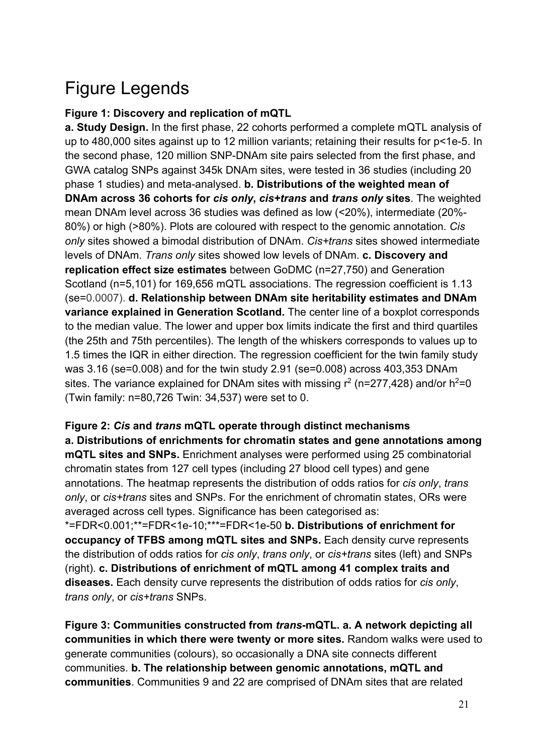# Figure Legends

#### **Figure 1: Discovery and replication of mQTL**

**a. Study Design.** In the first phase, 22 cohorts performed a complete mQTL analysis of up to 480,000 sites against up to 12 million variants; retaining their results for p<1e-5. In the second phase, 120 million SNP-DNAm site pairs selected from the first phase, and GWA catalog SNPs against 345k DNAm sites, were tested in 36 studies (including 20 phase 1 studies) and meta-analysed. **b. Distributions of the weighted mean of DNAm across 36 cohorts for** *cis only***,** *cis+trans* **and** *trans only* **sites**. The weighted mean DNAm level across 36 studies was defined as low (<20%), intermediate (20%- 80%) or high (>80%). Plots are coloured with respect to the genomic annotation. *Cis only* sites showed a bimodal distribution of DNAm. *Cis+trans* sites showed intermediate levels of DNAm. *Trans only* sites showed low levels of DNAm. **c. Discovery and replication effect size estimates** between GoDMC (n=27,750) and Generation Scotland (n=5,101) for 169,656 mQTL associations. The regression coefficient is 1.13 (se=0.0007). **d. Relationship between DNAm site heritability estimates and DNAm variance explained in Generation Scotland.** The center line of a boxplot corresponds to the median value. The lower and upper box limits indicate the first and third quartiles (the 25th and 75th percentiles). The length of the whiskers corresponds to values up to 1.5 times the IQR in either direction. The regression coefficient for the twin family study was 3.16 (se=0.008) and for the twin study 2.91 (se=0.008) across 403,353 DNAm sites. The variance explained for DNAm sites with missing  $r^2$  (n=277,428) and/or h<sup>2</sup>=0 (Twin family: n=80,726 Twin: 34,537) were set to 0.

**Figure 2:** *Cis* **and** *trans* **mQTL operate through distinct mechanisms a. Distributions of enrichments for chromatin states and gene annotations among mQTL sites and SNPs.** Enrichment analyses were performed using 25 combinatorial chromatin states from 127 cell types (including 27 blood cell types) and gene annotations. The heatmap represents the distribution of odds ratios for *cis only*, *trans only*, or *cis+trans* sites and SNPs. For the enrichment of chromatin states, ORs were averaged across cell types. Significance has been categorised as: \*=FDR<0.001;\*\*=FDR<1e-10;\*\*\*=FDR<1e-50 **b. Distributions of enrichment for occupancy of TFBS among mQTL sites and SNPs.** Each density curve represents the distribution of odds ratios for *cis only*, *trans only*, or *cis+trans* sites (left) and SNPs (right). **c. Distributions of enrichment of mQTL among 41 complex traits and diseases.** Each density curve represents the distribution of odds ratios for *cis only*, *trans only*, or *cis+trans* SNPs.

**Figure 3: Communities constructed from** *trans***-mQTL. a. A network depicting all communities in which there were twenty or more sites.** Random walks were used to generate communities (colours), so occasionally a DNA site connects different communities. **b. The relationship between genomic annotations, mQTL and communities**. Communities 9 and 22 are comprised of DNAm sites that are related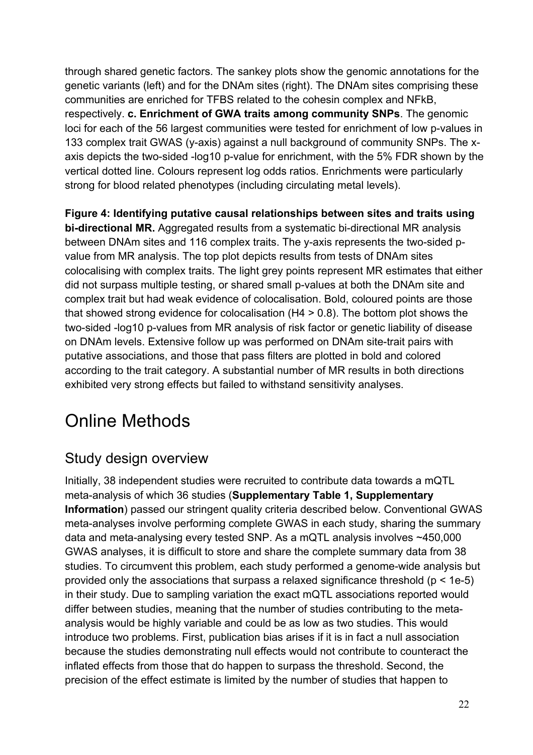through shared genetic factors. The sankey plots show the genomic annotations for the genetic variants (left) and for the DNAm sites (right). The DNAm sites comprising these communities are enriched for TFBS related to the cohesin complex and NFkB, respectively. **c. Enrichment of GWA traits among community SNPs**. The genomic loci for each of the 56 largest communities were tested for enrichment of low p-values in 133 complex trait GWAS (y-axis) against a null background of community SNPs. The xaxis depicts the two-sided -log10 p-value for enrichment, with the 5% FDR shown by the vertical dotted line. Colours represent log odds ratios. Enrichments were particularly strong for blood related phenotypes (including circulating metal levels).

**Figure 4: Identifying putative causal relationships between sites and traits using bi-directional MR.** Aggregated results from a systematic bi-directional MR analysis between DNAm sites and 116 complex traits. The y-axis represents the two-sided pvalue from MR analysis. The top plot depicts results from tests of DNAm sites colocalising with complex traits. The light grey points represent MR estimates that either did not surpass multiple testing, or shared small p-values at both the DNAm site and complex trait but had weak evidence of colocalisation. Bold, coloured points are those that showed strong evidence for colocalisation (H4 > 0.8). The bottom plot shows the two-sided -log10 p-values from MR analysis of risk factor or genetic liability of disease on DNAm levels. Extensive follow up was performed on DNAm site-trait pairs with putative associations, and those that pass filters are plotted in bold and colored according to the trait category. A substantial number of MR results in both directions exhibited very strong effects but failed to withstand sensitivity analyses.

## Online Methods

### Study design overview

Initially, 38 independent studies were recruited to contribute data towards a mQTL meta-analysis of which 36 studies (**Supplementary Table 1, Supplementary Information**) passed our stringent quality criteria described below. Conventional GWAS meta-analyses involve performing complete GWAS in each study, sharing the summary data and meta-analysing every tested SNP. As a mQTL analysis involves ~450,000 GWAS analyses, it is difficult to store and share the complete summary data from 38 studies. To circumvent this problem, each study performed a genome-wide analysis but provided only the associations that surpass a relaxed significance threshold ( $p < 1e-5$ ) in their study. Due to sampling variation the exact mQTL associations reported would differ between studies, meaning that the number of studies contributing to the metaanalysis would be highly variable and could be as low as two studies. This would introduce two problems. First, publication bias arises if it is in fact a null association because the studies demonstrating null effects would not contribute to counteract the inflated effects from those that do happen to surpass the threshold. Second, the precision of the effect estimate is limited by the number of studies that happen to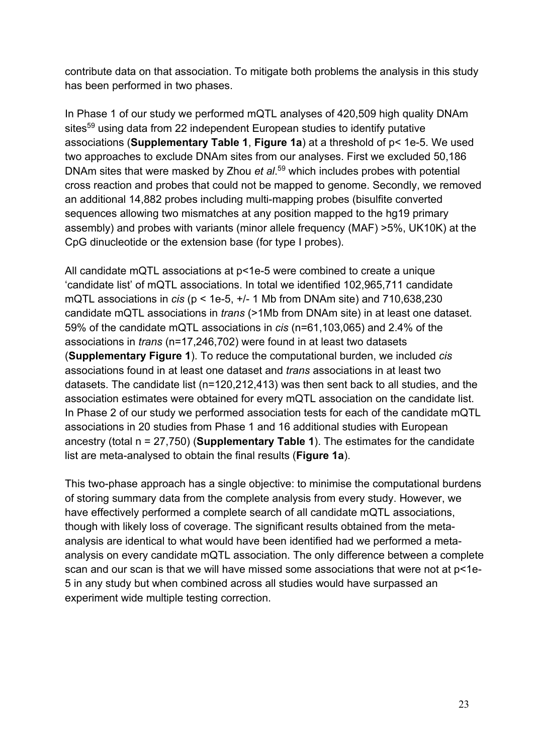contribute data on that association. To mitigate both problems the analysis in this study has been performed in two phases.

In Phase 1 of our study we performed mQTL analyses of 420,509 high quality DNAm sites<sup>59</sup> using data from 22 independent European studies to identify putative associations (**Supplementary Table 1**, **Figure 1a**) at a threshold of p< 1e-5. We used two approaches to exclude DNAm sites from our analyses. First we excluded 50,186 DNAm sites that were masked by Zhou *et al*. <sup>59</sup> which includes probes with potential cross reaction and probes that could not be mapped to genome. Secondly, we removed an additional 14,882 probes including multi-mapping probes (bisulfite converted sequences allowing two mismatches at any position mapped to the hg19 primary assembly) and probes with variants (minor allele frequency (MAF) >5%, UK10K) at the CpG dinucleotide or the extension base (for type I probes).

All candidate mQTL associations at  $p$ <1e-5 were combined to create a unique 'candidate list' of mQTL associations. In total we identified 102,965,711 candidate mQTL associations in *cis* (p < 1e-5, +/- 1 Mb from DNAm site) and 710,638,230 candidate mQTL associations in *trans* (>1Mb from DNAm site) in at least one dataset. 59% of the candidate mQTL associations in *cis* (n=61,103,065) and 2.4% of the associations in *trans* (n=17,246,702) were found in at least two datasets (**Supplementary Figure 1**). To reduce the computational burden, we included *cis* associations found in at least one dataset and *trans* associations in at least two datasets. The candidate list (n=120,212,413) was then sent back to all studies, and the association estimates were obtained for every mQTL association on the candidate list. In Phase 2 of our study we performed association tests for each of the candidate mQTL associations in 20 studies from Phase 1 and 16 additional studies with European ancestry (total n = 27,750) (**Supplementary Table 1**). The estimates for the candidate list are meta-analysed to obtain the final results (**Figure 1a**).

This two-phase approach has a single objective: to minimise the computational burdens of storing summary data from the complete analysis from every study. However, we have effectively performed a complete search of all candidate mQTL associations, though with likely loss of coverage. The significant results obtained from the metaanalysis are identical to what would have been identified had we performed a metaanalysis on every candidate mQTL association. The only difference between a complete scan and our scan is that we will have missed some associations that were not at p<1e-5 in any study but when combined across all studies would have surpassed an experiment wide multiple testing correction.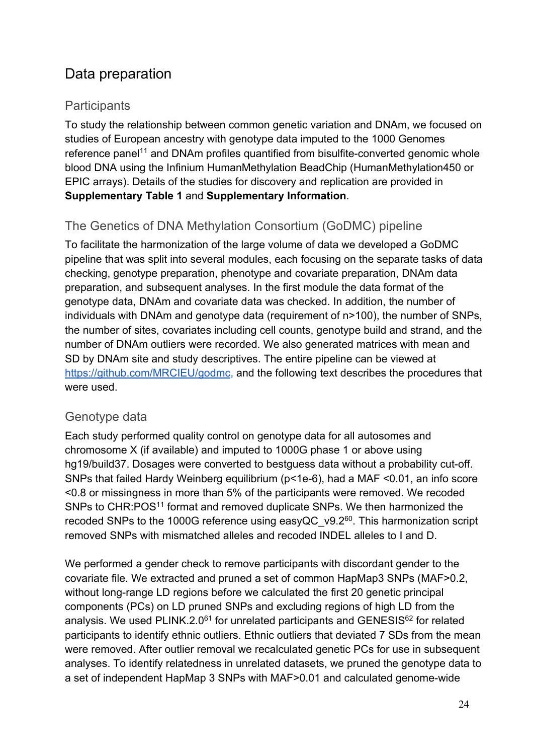### Data preparation

### **Participants**

To study the relationship between common genetic variation and DNAm, we focused on studies of European ancestry with genotype data imputed to the 1000 Genomes reference panel<sup>11</sup> and DNAm profiles quantified from bisulfite-converted genomic whole blood DNA using the Infinium HumanMethylation BeadChip (HumanMethylation450 or EPIC arrays). Details of the studies for discovery and replication are provided in **Supplementary Table 1** and **Supplementary Information**.

### The Genetics of DNA Methylation Consortium (GoDMC) pipeline

To facilitate the harmonization of the large volume of data we developed a GoDMC pipeline that was split into several modules, each focusing on the separate tasks of data checking, genotype preparation, phenotype and covariate preparation, DNAm data preparation, and subsequent analyses. In the first module the data format of the genotype data, DNAm and covariate data was checked. In addition, the number of individuals with DNAm and genotype data (requirement of n>100), the number of SNPs, the number of sites, covariates including cell counts, genotype build and strand, and the number of DNAm outliers were recorded. We also generated matrices with mean and SD by DNAm site and study descriptives. The entire pipeline can be viewed at https://github.com/MRCIEU/godmc, and the following text describes the procedures that were used.

#### Genotype data

Each study performed quality control on genotype data for all autosomes and chromosome X (if available) and imputed to 1000G phase 1 or above using hg19/build37. Dosages were converted to bestguess data without a probability cut-off. SNPs that failed Hardy Weinberg equilibrium (p<1e-6), had a MAF <0.01, an info score <0.8 or missingness in more than 5% of the participants were removed. We recoded SNPs to CHR:POS<sup>11</sup> format and removed duplicate SNPs. We then harmonized the recoded SNPs to the 1000G reference using easyQC\_v9.2<sup>60</sup>. This harmonization script removed SNPs with mismatched alleles and recoded INDEL alleles to I and D.

We performed a gender check to remove participants with discordant gender to the covariate file. We extracted and pruned a set of common HapMap3 SNPs (MAF>0.2, without long-range LD regions before we calculated the first 20 genetic principal components (PCs) on LD pruned SNPs and excluding regions of high LD from the analysis. We used PLINK.2.0<sup>61</sup> for unrelated participants and GENESIS<sup>62</sup> for related participants to identify ethnic outliers. Ethnic outliers that deviated 7 SDs from the mean were removed. After outlier removal we recalculated genetic PCs for use in subsequent analyses. To identify relatedness in unrelated datasets, we pruned the genotype data to a set of independent HapMap 3 SNPs with MAF>0.01 and calculated genome-wide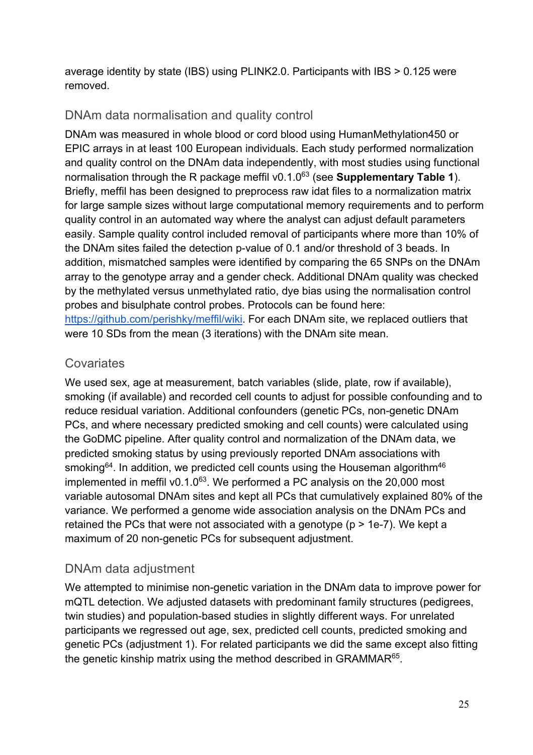average identity by state (IBS) using PLINK2.0. Participants with IBS > 0.125 were removed.

#### DNAm data normalisation and quality control

DNAm was measured in whole blood or cord blood using HumanMethylation450 or EPIC arrays in at least 100 European individuals. Each study performed normalization and quality control on the DNAm data independently, with most studies using functional normalisation through the R package meffil v0.1.0<sup>63</sup> (see **Supplementary Table 1**). Briefly, meffil has been designed to preprocess raw idat files to a normalization matrix for large sample sizes without large computational memory requirements and to perform quality control in an automated way where the analyst can adjust default parameters easily. Sample quality control included removal of participants where more than 10% of the DNAm sites failed the detection p-value of 0.1 and/or threshold of 3 beads. In addition, mismatched samples were identified by comparing the 65 SNPs on the DNAm array to the genotype array and a gender check. Additional DNAm quality was checked by the methylated versus unmethylated ratio, dye bias using the normalisation control probes and bisulphate control probes. Protocols can be found here: https://github.com/perishky/meffil/wiki. For each DNAm site, we replaced outliers that were 10 SDs from the mean (3 iterations) with the DNAm site mean.

#### **Covariates**

We used sex, age at measurement, batch variables (slide, plate, row if available), smoking (if available) and recorded cell counts to adjust for possible confounding and to reduce residual variation. Additional confounders (genetic PCs, non-genetic DNAm PCs, and where necessary predicted smoking and cell counts) were calculated using the GoDMC pipeline. After quality control and normalization of the DNAm data, we predicted smoking status by using previously reported DNAm associations with smoking<sup>64</sup>. In addition, we predicted cell counts using the Houseman algorithm<sup>46</sup> implemented in meffil v0.1.0 $^{63}$ . We performed a PC analysis on the 20,000 most variable autosomal DNAm sites and kept all PCs that cumulatively explained 80% of the variance. We performed a genome wide association analysis on the DNAm PCs and retained the PCs that were not associated with a genotype (p > 1e-7). We kept a maximum of 20 non-genetic PCs for subsequent adjustment.

### DNAm data adjustment

We attempted to minimise non-genetic variation in the DNAm data to improve power for mQTL detection. We adjusted datasets with predominant family structures (pedigrees, twin studies) and population-based studies in slightly different ways. For unrelated participants we regressed out age, sex, predicted cell counts, predicted smoking and genetic PCs (adjustment 1). For related participants we did the same except also fitting the genetic kinship matrix using the method described in GRAMMAR65.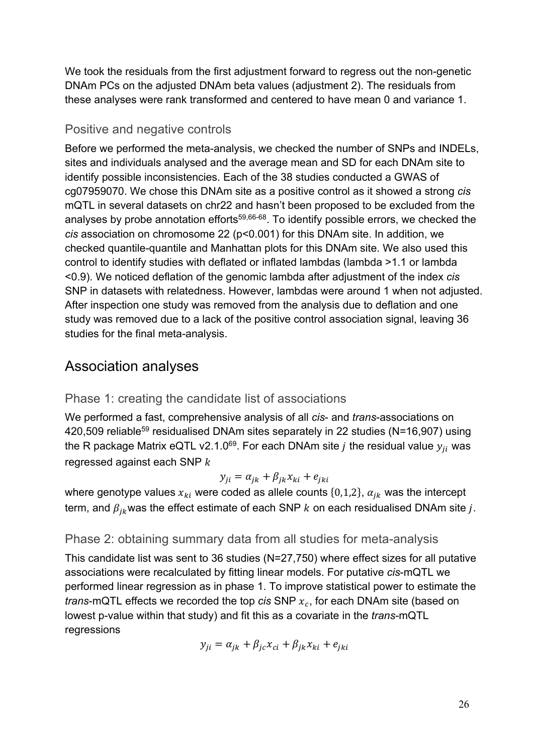We took the residuals from the first adjustment forward to regress out the non-genetic DNAm PCs on the adjusted DNAm beta values (adjustment 2). The residuals from these analyses were rank transformed and centered to have mean 0 and variance 1.

#### Positive and negative controls

Before we performed the meta-analysis, we checked the number of SNPs and INDELs, sites and individuals analysed and the average mean and SD for each DNAm site to identify possible inconsistencies. Each of the 38 studies conducted a GWAS of cg07959070. We chose this DNAm site as a positive control as it showed a strong *cis* mQTL in several datasets on chr22 and hasn't been proposed to be excluded from the analyses by probe annotation efforts<sup>59,66-68</sup>. To identify possible errors, we checked the *cis* association on chromosome 22 (p<0.001) for this DNAm site. In addition, we checked quantile-quantile and Manhattan plots for this DNAm site. We also used this control to identify studies with deflated or inflated lambdas (lambda >1.1 or lambda <0.9). We noticed deflation of the genomic lambda after adjustment of the index *cis* SNP in datasets with relatedness. However, lambdas were around 1 when not adjusted. After inspection one study was removed from the analysis due to deflation and one study was removed due to a lack of the positive control association signal, leaving 36 studies for the final meta-analysis.

### Association analyses

#### Phase 1: creating the candidate list of associations

We performed a fast, comprehensive analysis of all *cis*- and *trans*-associations on 420,509 reliable<sup>59</sup> residualised DNAm sites separately in 22 studies (N=16,907) using the R package Matrix eQTL v2.1.0<sup>69</sup>. For each DNAm site *j* the residual value  $y_{ii}$  was regressed against each SNP  $k$ 

$$
y_{ji} = \alpha_{jk} + \beta_{jk} x_{ki} + e_{jki}
$$

where genotype values  $x_{ki}$  were coded as allele counts {0,1,2},  $\alpha_{jk}$  was the intercept term, and  $\beta_{ik}$  was the effect estimate of each SNP  $k$  on each residualised DNAm site j.

#### Phase 2: obtaining summary data from all studies for meta-analysis

This candidate list was sent to 36 studies (N=27,750) where effect sizes for all putative associations were recalculated by fitting linear models. For putative *cis*-mQTL we performed linear regression as in phase 1. To improve statistical power to estimate the *trans*-mQTL effects we recorded the top *cis* SNP  $x_c$ , for each DNAm site (based on lowest p-value within that study) and fit this as a covariate in the *trans*-mQTL regressions

$$
y_{ji} = \alpha_{jk} + \beta_{jc} x_{ci} + \beta_{jk} x_{ki} + e_{jki}
$$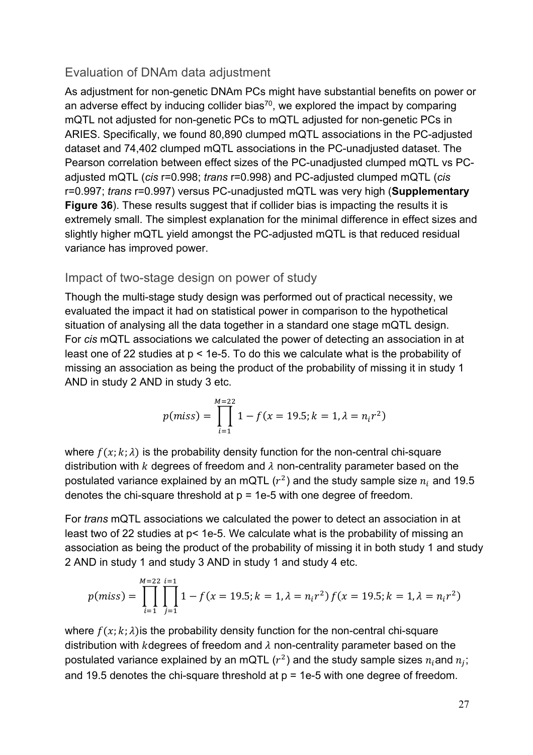#### Evaluation of DNAm data adjustment

As adjustment for non-genetic DNAm PCs might have substantial benefits on power or an adverse effect by inducing collider bias<sup>70</sup>, we explored the impact by comparing mQTL not adjusted for non-genetic PCs to mQTL adjusted for non-genetic PCs in ARIES. Specifically, we found 80,890 clumped mQTL associations in the PC-adjusted dataset and 74,402 clumped mQTL associations in the PC-unadjusted dataset. The Pearson correlation between effect sizes of the PC-unadjusted clumped mQTL vs PCadjusted mQTL (*cis* r=0.998; *trans* r=0.998) and PC-adjusted clumped mQTL (*cis* r=0.997; *trans* r=0.997) versus PC-unadjusted mQTL was very high (**Supplementary Figure 36**). These results suggest that if collider bias is impacting the results it is extremely small. The simplest explanation for the minimal difference in effect sizes and slightly higher mQTL yield amongst the PC-adjusted mQTL is that reduced residual variance has improved power.

#### Impact of two-stage design on power of study

Though the multi-stage study design was performed out of practical necessity, we evaluated the impact it had on statistical power in comparison to the hypothetical situation of analysing all the data together in a standard one stage mQTL design. For *cis* mQTL associations we calculated the power of detecting an association in at least one of 22 studies at p < 1e-5. To do this we calculate what is the probability of missing an association as being the product of the probability of missing it in study 1 AND in study 2 AND in study 3 etc.

$$
p(miss) = \prod_{i=1}^{M=22} 1 - f(x = 19.5; k = 1, \lambda = n_i r^2)
$$

where  $f(x; k; \lambda)$  is the probability density function for the non-central chi-square distribution with k degrees of freedom and  $\lambda$  non-centrality parameter based on the postulated variance explained by an mQTL  $(r^2)$  and the study sample size  $n_i$  and 19.5 denotes the chi-square threshold at  $p = 1e-5$  with one degree of freedom.

For *trans* mQTL associations we calculated the power to detect an association in at least two of 22 studies at p< 1e-5. We calculate what is the probability of missing an association as being the product of the probability of missing it in both study 1 and study 2 AND in study 1 and study 3 AND in study 1 and study 4 etc.

$$
p(miss) = \prod_{i=1}^{M=22} \prod_{j=1}^{i=1} 1 - f(x = 19.5; k = 1, \lambda = n_i r^2) f(x = 19.5; k = 1, \lambda = n_i r^2)
$$

where  $f(x; k; \lambda)$  is the probability density function for the non-central chi-square distribution with kdegrees of freedom and  $\lambda$  non-centrality parameter based on the postulated variance explained by an mQTL ( $r^2$ ) and the study sample sizes  $n_i$  and  $n_i$ ; and 19.5 denotes the chi-square threshold at  $p = 1e-5$  with one degree of freedom.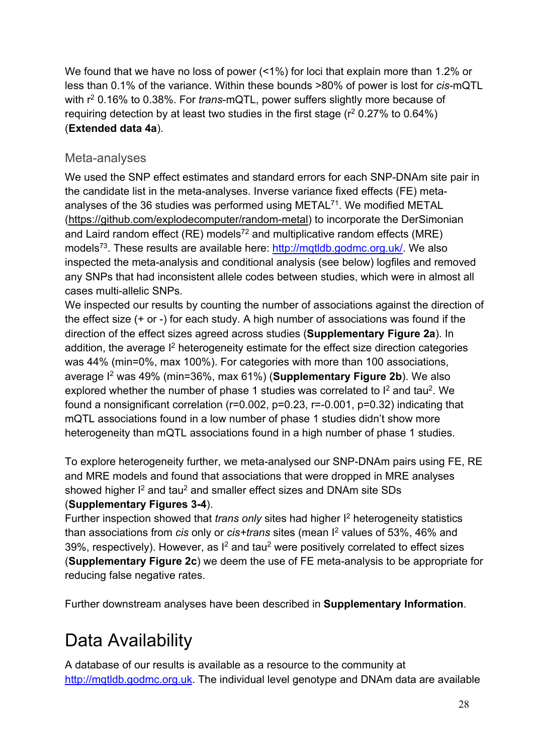We found that we have no loss of power (<1%) for loci that explain more than 1.2% or less than 0.1% of the variance. Within these bounds >80% of power is lost for *cis*-mQTL with r2 0.16% to 0.38%. For *trans*-mQTL, power suffers slightly more because of requiring detection by at least two studies in the first stage ( $r^2$  0.27% to 0.64%) (**Extended data 4a**).

### Meta-analyses

We used the SNP effect estimates and standard errors for each SNP-DNAm site pair in the candidate list in the meta-analyses. Inverse variance fixed effects (FE) metaanalyses of the 36 studies was performed using  $METAL^{71}$ . We modified METAL (https://github.com/explodecomputer/random-metal) to incorporate the DerSimonian and Laird random effect (RE) models<sup>72</sup> and multiplicative random effects (MRE) models<sup>73</sup>. These results are available here: http://mqtldb.godmc.org.uk/. We also inspected the meta-analysis and conditional analysis (see below) logfiles and removed any SNPs that had inconsistent allele codes between studies, which were in almost all cases multi-allelic SNPs.

We inspected our results by counting the number of associations against the direction of the effect size (+ or -) for each study. A high number of associations was found if the direction of the effect sizes agreed across studies (**Supplementary Figure 2a**). In addition, the average I<sup>2</sup> heterogeneity estimate for the effect size direction categories was 44% (min=0%, max 100%). For categories with more than 100 associations, average I2 was 49% (min=36%, max 61%) (**Supplementary Figure 2b**). We also explored whether the number of phase 1 studies was correlated to  $I^2$  and tau<sup>2</sup>. We found a nonsignificant correlation ( $r=0.002$ ,  $p=0.23$ ,  $r=-0.001$ ,  $p=0.32$ ) indicating that mQTL associations found in a low number of phase 1 studies didn't show more heterogeneity than mQTL associations found in a high number of phase 1 studies.

To explore heterogeneity further, we meta-analysed our SNP-DNAm pairs using FE, RE and MRE models and found that associations that were dropped in MRE analyses showed higher  $I^2$  and tau<sup>2</sup> and smaller effect sizes and DNAm site SDs (**Supplementary Figures 3-4**).

Further inspection showed that *trans only* sites had higher I2 heterogeneity statistics than associations from *cis* only or *cis+trans* sites (mean I2 values of 53%, 46% and 39%, respectively). However, as  $I^2$  and tau<sup>2</sup> were positively correlated to effect sizes (**Supplementary Figure 2c**) we deem the use of FE meta-analysis to be appropriate for reducing false negative rates.

Further downstream analyses have been described in **Supplementary Information**.

# Data Availability

A database of our results is available as a resource to the community at http://mqtldb.godmc.org.uk. The individual level genotype and DNAm data are available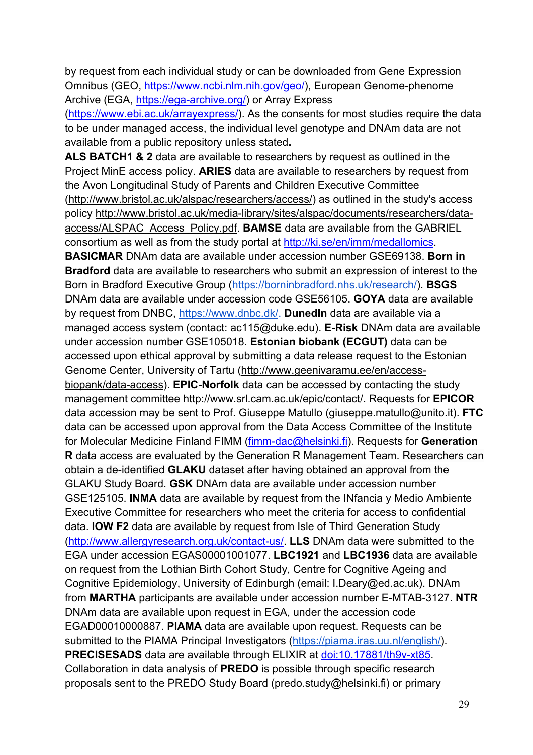by request from each individual study or can be downloaded from Gene Expression Omnibus (GEO, https://www.ncbi.nlm.nih.gov/geo/), European Genome-phenome Archive (EGA, https://ega-archive.org/) or Array Express

(https://www.ebi.ac.uk/arrayexpress/). As the consents for most studies require the data to be under managed access, the individual level genotype and DNAm data are not available from a public repository unless stated**.**

**ALS BATCH1 & 2** data are available to researchers by request as outlined in the Project MinE access policy. **ARIES** data are available to researchers by request from the Avon Longitudinal Study of Parents and Children Executive Committee (http://www.bristol.ac.uk/alspac/researchers/access/) as outlined in the study's access policy http://www.bristol.ac.uk/media-library/sites/alspac/documents/researchers/dataaccess/ALSPAC\_Access\_Policy.pdf. **BAMSE** data are available from the GABRIEL consortium as well as from the study portal at http://ki.se/en/imm/medallomics. **BASICMAR** DNAm data are available under accession number GSE69138. **Born in Bradford** data are available to researchers who submit an expression of interest to the Born in Bradford Executive Group (https://borninbradford.nhs.uk/research/). **BSGS** DNAm data are available under accession code GSE56105. **GOYA** data are available by request from DNBC, https://www.dnbc.dk/. **DunedIn** data are available via a managed access system (contact: ac115@duke.edu). **E-Risk** DNAm data are available under accession number GSE105018. **Estonian biobank (ECGUT)** data can be accessed upon ethical approval by submitting a data release request to the Estonian Genome Center, University of Tartu (http://www.geenivaramu.ee/en/accessbiopank/data-access). **EPIC-Norfolk** data can be accessed by contacting the study management committee http://www.srl.cam.ac.uk/epic/contact/. Requests for **EPICOR** data accession may be sent to Prof. Giuseppe Matullo (giuseppe.matullo@unito.it). **FTC** data can be accessed upon approval from the Data Access Committee of the Institute for Molecular Medicine Finland FIMM (fimm-dac@helsinki.fi). Requests for **Generation R** data access are evaluated by the Generation R Management Team. Researchers can obtain a de-identified **GLAKU** dataset after having obtained an approval from the GLAKU Study Board. **GSK** DNAm data are available under accession number GSE125105. **INMA** data are available by request from the INfancia y Medio Ambiente Executive Committee for researchers who meet the criteria for access to confidential data. **IOW F2** data are available by request from Isle of Third Generation Study (http://www.allergyresearch.org.uk/contact-us/. **LLS** DNAm data were submitted to the EGA under accession EGAS00001001077. **LBC1921** and **LBC1936** data are available on request from the Lothian Birth Cohort Study, Centre for Cognitive Ageing and Cognitive Epidemiology, University of Edinburgh (email: I.Deary@ed.ac.uk). DNAm from **MARTHA** participants are available under accession number E-MTAB-3127. **NTR** DNAm data are available upon request in EGA, under the accession code EGAD00010000887. **PIAMA** data are available upon request. Requests can be submitted to the PIAMA Principal Investigators (https://piama.iras.uu.nl/english/). **PRECISESADS** data are available through ELIXIR at doi:10.17881/th9v-xt85. Collaboration in data analysis of **PREDO** is possible through specific research proposals sent to the PREDO Study Board (predo.study@helsinki.fi) or primary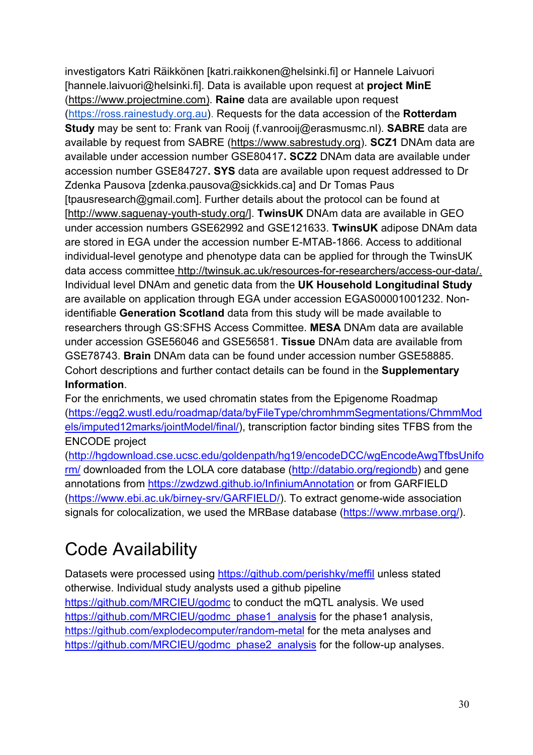investigators Katri Räikkönen [katri.raikkonen@helsinki.fi] or Hannele Laivuori [hannele.laivuori@helsinki.fi]. Data is available upon request at **project MinE** (https://www.projectmine.com). **Raine** data are available upon request (https://ross.rainestudy.org.au). Requests for the data accession of the **Rotterdam Study** may be sent to: Frank van Rooij (f.vanrooij@erasmusmc.nl). **SABRE** data are available by request from SABRE (https://www.sabrestudy.org). **SCZ1** DNAm data are available under accession number GSE80417**. SCZ2** DNAm data are available under accession number GSE84727**. SYS** data are available upon request addressed to Dr Zdenka Pausova [zdenka.pausova@sickkids.ca] and Dr Tomas Paus [tpausresearch@gmail.com]. Further details about the protocol can be found at [http://www.saguenay-youth-study.org/]. **TwinsUK** DNAm data are available in GEO under accession numbers GSE62992 and GSE121633. **TwinsUK** adipose DNAm data are stored in EGA under the accession number E-MTAB-1866. Access to additional individual-level genotype and phenotype data can be applied for through the TwinsUK data access committee http://twinsuk.ac.uk/resources-for-researchers/access-our-data/. Individual level DNAm and genetic data from the **UK Household Longitudinal Study** are available on application through EGA under accession EGAS00001001232. Nonidentifiable **Generation Scotland** data from this study will be made available to researchers through GS:SFHS Access Committee. **MESA** DNAm data are available under accession GSE56046 and GSE56581. **Tissue** DNAm data are available from GSE78743. **Brain** DNAm data can be found under accession number GSE58885. Cohort descriptions and further contact details can be found in the **Supplementary Information**.

For the enrichments, we used chromatin states from the Epigenome Roadmap (https://egg2.wustl.edu/roadmap/data/byFileType/chromhmmSegmentations/ChmmMod els/imputed12marks/jointModel/final/), transcription factor binding sites TFBS from the ENCODE project

(http://hgdownload.cse.ucsc.edu/goldenpath/hg19/encodeDCC/wgEncodeAwgTfbsUnifo rm/ downloaded from the LOLA core database (http://databio.org/regiondb) and gene annotations from https://zwdzwd.github.io/InfiniumAnnotation or from GARFIELD (https://www.ebi.ac.uk/birney-srv/GARFIELD/). To extract genome-wide association signals for colocalization, we used the MRBase database (https://www.mrbase.org/).

# Code Availability

Datasets were processed using https://github.com/perishky/meffil unless stated otherwise. Individual study analysts used a github pipeline https://github.com/MRCIEU/godmc to conduct the mQTL analysis. We used https://github.com/MRCIEU/godmc\_phase1\_analysis for the phase1 analysis, https://github.com/explodecomputer/random-metal for the meta analyses and https://github.com/MRCIEU/godmc\_phase2\_analysis for the follow-up analyses.